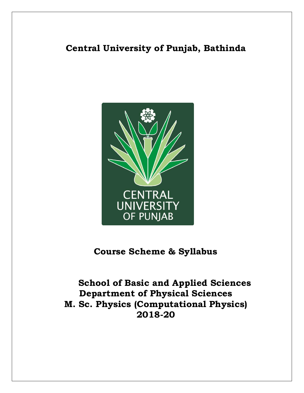# **Central University of Punjab, Bathinda**



# **Course Scheme & Syllabus**

# **School of Basic and Applied Sciences Department of Physical Sciences M. Sc. Physics (Computational Physics) 2018-20**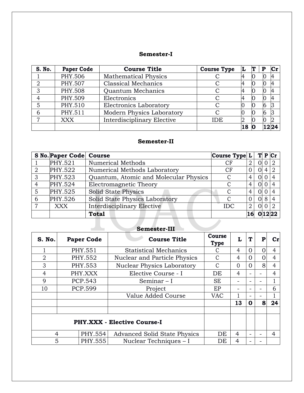### **Semester-I**

| S. No. | <b>Paper Code</b> | <b>Course Title</b>         | <b>Course Type</b> |    |   |   |  |
|--------|-------------------|-----------------------------|--------------------|----|---|---|--|
|        | PHY.506           | <b>Mathematical Physics</b> |                    |    |   |   |  |
|        | PHY.507           | <b>Classical Mechanics</b>  |                    |    |   |   |  |
|        | PHY.508           | <b>Quantum Mechanics</b>    |                    |    |   |   |  |
|        | PHY.509           | Electronics                 |                    |    |   |   |  |
|        | PHY.510           | Electronics Laboratory      |                    |    |   | 6 |  |
|        | PHY.511           | Modern Physics Laboratory   |                    |    | Ю | 6 |  |
|        | <b>XXX</b>        | Interdisciplinary Elective  | IDE                |    |   |   |  |
|        |                   |                             |                    | 18 |   |   |  |

### **Semester-II**

|                | <b>S No. Paper Code</b> | <b>Course</b>                         | Course Type L |          |   | P Cr    |
|----------------|-------------------------|---------------------------------------|---------------|----------|---|---------|
|                | PHY.521                 | <b>Numerical Methods</b>              | CF            | 2        |   |         |
| ႒              | PHY.522                 | Numerical Methods Laboratory          | СF            | $\Omega$ | 4 |         |
| 3              | PHY.523                 | Quantum, Atomic and Molecular Physics |               | 4        |   |         |
| 4              | PHY.524                 | Electromagnetic Theory                | C             | 4        |   |         |
| 5              | PHY.525                 | Solid State Physics                   | C             | 4        |   |         |
| 6              | PHY.526                 | Solid State Physics Laboratory        | C             |          | 8 |         |
| $\overline{ }$ | <b>XXX</b>              | Interdisciplinary Elective            | IDC           | 2        |   |         |
|                |                         | <b>Total</b>                          |               | 16       |   | 0 12 22 |
|                |                         | Semester-III                          |               |          |   |         |

# **Semester-III**

| S. No.                             | <b>Paper Code</b> | <b>Course Title</b>                 | Course<br>L<br>Type |          | T                        | P        | $\mathbf{C}\mathbf{r}$ |
|------------------------------------|-------------------|-------------------------------------|---------------------|----------|--------------------------|----------|------------------------|
|                                    | PHY.551           | <b>Statistical Mechanics</b>        | $\Omega$<br>4<br>C  |          |                          | $\Omega$ | 4                      |
| $\overline{2}$                     | PHY.552           | <b>Nuclear and Particle Physics</b> | C                   | 4        | 0                        | $\Omega$ | $\overline{4}$         |
| 3                                  | PHY.553           | <b>Nuclear Physics Laboratory</b>   | $\mathcal{C}$       | $\Omega$ | $\Omega$                 | 8        | 4                      |
| 4                                  | PHY.XXX           | Elective Course - I                 | DE                  | 4        | $\overline{\phantom{0}}$ |          | 4                      |
| 9                                  | PCP.543           | Seminar $-I$                        | <b>SE</b>           |          |                          |          |                        |
| 10                                 | PCP.599           | Project                             | ΕP                  |          |                          |          | 6                      |
|                                    |                   | Value Added Course<br><b>VAC</b>    |                     |          | $\overline{\phantom{0}}$ |          |                        |
|                                    |                   |                                     |                     | 13       | 0                        | 8        | 24                     |
|                                    |                   |                                     |                     |          |                          |          |                        |
| <b>PHY.XXX - Elective Course-I</b> |                   |                                     |                     |          |                          |          |                        |
| 4                                  | PHY.554           | <b>Advanced Solid State Physics</b> | DE                  | 4        |                          |          | 4                      |
| 5                                  | PHY.555           | Nuclear Techniques - I              | DE                  | 4        |                          |          |                        |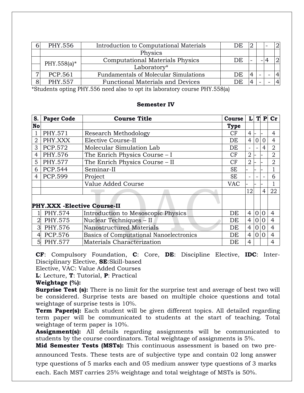| PHY.556     | Introduction to Computational Materials | DE |   |  |  |
|-------------|-----------------------------------------|----|---|--|--|
|             | Physics                                 |    |   |  |  |
| PHY.558(a)* | Computational Materials Physics         | DE |   |  |  |
|             | Laboratory*                             |    |   |  |  |
| PCP.561     | Fundamentals of Molecular Simulations   | DE | 4 |  |  |
| PHY.557     | <b>Functional Materials and Devices</b> | DE | 4 |  |  |

\*Students opting PHY.556 need also to opt its laboratory course PHY.558(a)

### **Semester IV**

| S.             | <b>Paper Code</b>            | <b>Course Title</b>                            | Course      | Ll             | T        | $\mathbf{P}$   | $cr$           |
|----------------|------------------------------|------------------------------------------------|-------------|----------------|----------|----------------|----------------|
| <b>No</b>      |                              |                                                | <b>Type</b> |                |          |                |                |
|                | PHY.571                      | <b>Research Methodology</b>                    | CF          | $\overline{4}$ |          |                | 4              |
| $\overline{2}$ | PHY.XXX                      | Elective Course-II                             | DE          | 4              | $\Omega$ | 0              | 4              |
| 3              | PCP.572                      | Molecular Simulation Lab                       | DE          |                |          | 4              | 2              |
| 4              | PHY.576                      | The Enrich Physics Course - I                  | CF          | $\overline{2}$ |          |                | $\overline{2}$ |
| 5              | PHY.577                      | The Enrich Physics Course - II                 | CF          | $\overline{2}$ |          |                | $\overline{2}$ |
| 6              | PCP.544                      | Seminar-II                                     | <b>SE</b>   |                |          |                |                |
| 4              | PCP.599                      | Project                                        | <b>SE</b>   |                |          |                | 6              |
|                |                              | Value Added Course                             | <b>VAC</b>  |                |          |                |                |
|                |                              |                                                |             | 12             |          | $\overline{4}$ | 22             |
|                | PHY.XXX - Elective Course-II |                                                |             |                |          |                |                |
|                | PHY.574                      | Introduction to Mesoscopic Physics             | DE          | $\overline{4}$ | $\Omega$ | $\Omega$       | 4              |
| 2              | PHY.575                      | Nuclear Techniques - II                        | DE          | 4              | 0        |                | 4              |
| 3              | PHY.576                      | Nanostructured Materials                       | DE          | $\overline{4}$ |          |                | 4              |
| 4              | PCP.576                      | <b>Basics of Computational Nanoelectronics</b> | DE          | 4              | $\theta$ |                | 4              |
| 5              | PHY.577                      | Materials Characterization                     | DE          | $\overline{4}$ |          |                | 4              |

**CF**: Compulsory Foundation, **C**: Core, **DE**: Discipline Elective, **IDC**: Inter-Disciplinary Elective, **SE**:Skill-based

Elective, VAC: Value Added Courses

**L**: Lecture, **T**: Tutorial, **P**: Practical

**Weightage (%):**

**Surprise Test (s):** There is no limit for the surprise test and average of best two will be considered. Surprise tests are based on multiple choice questions and total weightage of surprise tests is 10%.

**Term Paper(s):** Each student will be given different topics. All detailed regarding term paper will be communicated to students at the start of teaching. Total weightage of term paper is 10%.

**Assignment(s):** All details regarding assignments will be communicated to students by the course coordinators. Total weightage of assignments is 5%.

**Mid Semester Tests (MSTs):** This continuous assessment is based on two preannounced Tests. These tests are of subjective type and contain 02 long answer type questions of 5 marks each and 05 medium answer type questions of 3 marks each. Each MST carries 25% weightage and total weightage of MSTs is 50%.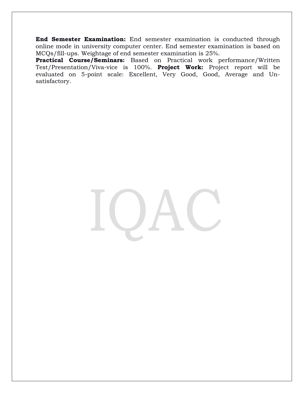**End Semester Examination:** End semester examination is conducted through online mode in university computer center. End semester examination is based on MCQs/fill-ups. Weightage of end semester examination is 25%.

**Practical Course/Seminars:** Based on Practical work performance/Written Test/Presentation/Viva-vice is 100%. **Project Work:** Project report will be evaluated on 5-point scale: Excellent, Very Good, Good, Average and Unsatisfactory.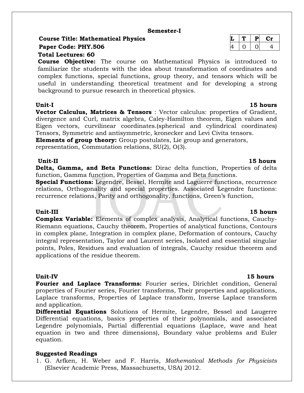### **Semester-I**

**Course Title: Mathematical Physics** 

# **Paper Code: PHY.506**

# **Total Lectures: 60**

**Course Objective:** The course on Mathematical Physics is introduced to familiarize the students with the idea about transformation of coordinates and complex functions, special functions, group theory, and tensors which will be useful in understanding theoretical treatment and for developing a strong background to pursue research in theoretical physics.

**Vector Calculus, Matrices & Tensors** : Vector calculus: properties of Gradient, divergence and Curl, matrix algebra, Caley-Hamilton theorem, Eigen values and Eigen vectors, curvilinear coordinates.(spherical and cylindrical coordinates) Tensors, Symmetric and antisymmetric, kronecker and Levi Civita tensors.

**Elements of group theory:** Group postulates, Lie group and generators, representation, Commutation relations, SU(2), O(3).

### **Unit-II 15 hours**

**Delta, Gamma, and Beta Functions:** Dirac delta function, Properties of delta function, Gamma function, Properties of Gamma and Beta functions.

**Special Functions:** Legendre, Bessel, Hermite and Laguerre functions, recurrence relations, Orthogonality and special properties. Associated Legendre functions: recurrence relations, Parity and orthogonality, functions, Green's function,

**Complex Variable:** Elements of complex analysis, Analytical functions, Cauchy-Riemann equations, Cauchy theorem, Properties of analytical functions, Contours in complex plane, Integration in complex plane, Deformation of contours, Cauchy integral representation, Taylor and Laurent series, Isolated and essential singular points, Poles, Residues and evaluation of integrals, Cauchy residue theorem and applications of the residue theorem.

**Unit-IV 15 hours Fourier and Laplace Transforms:** Fourier series, Dirichlet condition, General properties of Fourier series, Fourier transforms, Their properties and applications, Laplace transforms, Properties of Laplace transform, Inverse Laplace transform and application.

**Differential Equations** Solutions of Hermite, Legendre, Bessel and Laugerre Differential equations, basics properties of their polynomials, and associated Legendre polynomials, Partial differential equations (Laplace, wave and heat equation in two and three dimensions), Boundary value problems and Euler equation.

### **Suggested Readings**

1. G. Arfken, H. Weber and F. Harris, *Mathematical Methods for Physicists* (Elsevier Academic Press, Massachusetts, USA) 2012.

|   | Ð |   |
|---|---|---|
| 4 |   | щ |

### **Unit-III 15 hours**

# **Unit-I 15 hours**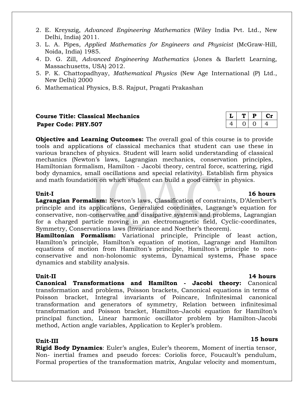- 2. E. Kreyszig, *Advanced Engineering Mathematics* (Wiley India Pvt. Ltd., New Delhi, India) 2011.
- 3. L. A. Pipes, *Applied Mathematics for Engineers and Physicist* (McGraw-Hill, Noida, India) 1985.
- 4. D. G. Zill, *Advanced Engineering Mathematics* (Jones & Barlett Learning, Massachusetts, USA) 2012.
- 5. P. K. Chattopadhyay, *Mathematical Physics* (New Age International (P) Ltd., New Delhi) 2000
- 6. Mathematical Physics, B.S. Rajput, Pragati Prakashan

### **Course Title: Classical Mechanics Paper Code: PHY.507**

|  | D |    |
|--|---|----|
|  |   | ч. |

**Objective and Learning Outcomes:** The overall goal of this course is to provide tools and applications of classical mechanics that student can use these in various branches of physics. Student will learn solid understanding of classical mechanics (Newton's laws, Lagrangian mechanics, conservation principles, Hamiltonian formalism, Hamilton - Jacobi theory, central force, scattering, rigid body dynamics, small oscillations and special relativity). Establish firm physics and math foundation on which student can build a good carrier in physics.

**Lagrangian Formalism:** Newton's laws, Classification of constraints, D'Alembert's principle and its applications, Generalized coordinates, Lagrange's equation for conservative, non-conservative and dissipative systems and problems, Lagrangian for a charged particle moving in an electromagnetic field, Cyclic-coordinates, Symmetry, Conservations laws (Invariance and Noether's theorem).

**Hamiltonian Formalism:** Variational principle, Principle of least action, Hamilton's principle, Hamilton's equation of motion, Lagrange and Hamilton equations of motion from Hamilton's principle, Hamilton's principle to nonconservative and non-holonomic systems, Dynamical systems, Phase space dynamics and stability analysis.

**Unit-II 14 hours Canonical Transformations and Hamilton - Jacobi theory:** Canonical transformation and problems, Poisson brackets, Canonical equations in terms of Poisson bracket, Integral invariants of Poincare, Infinitesimal canonical transformation and generators of symmetry, Relation between infinitesimal transformation and Poisson bracket, Hamilton–Jacobi equation for Hamilton's principal function, Linear harmonic oscillator problem by Hamilton-Jacobi method, Action angle variables, Application to Kepler's problem.

**Rigid Body Dynamics**: Euler's angles, Euler's theorem, Moment of inertia tensor, Non- inertial frames and pseudo forces: Coriolis force, Foucault's pendulum, Formal properties of the transformation matrix, Angular velocity and momentum,

### **Unit-I 16 hours**

# **Unit-III 15 hours**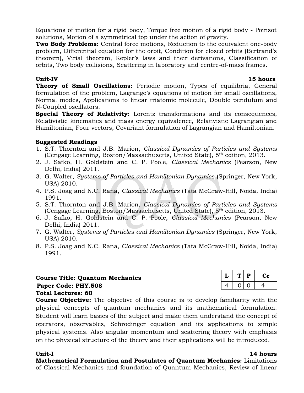Equations of motion for a rigid body, Torque free motion of a rigid body - Poinsot solutions, Motion of a symmetrical top under the action of gravity.

**Two Body Problems:** Central force motions, Reduction to the equivalent one-body problem, Differential equation for the orbit, Condition for closed orbits (Bertrand's theorem), Virial theorem, Kepler's laws and their derivations, Classification of orbits, Two body collisions, Scattering in laboratory and centre-of-mass frames.

### **Unit-IV 15 hours**

**Theory of Small Oscillations:** Periodic motion, Types of equilibria, General formulation of the problem, Lagrange's equations of motion for small oscillations, Normal modes, Applications to linear triatomic molecule, Double pendulum and N-Coupled oscillators.

**Special Theory of Relativity:** Lorentz transformations and its consequences, Relativistic kinematics and mass energy equivalence, Relativistic Lagrangian and Hamiltonian, Four vectors, Covariant formulation of Lagrangian and Hamiltonian.

### **Suggested Readings**

- 1. S.T. Thornton and J.B. Marion, *Classical Dynamics of Particles and Systems* (Cengage Learning, Boston/Massachusetts, United State), 5th edition, 2013.
- 2. J. Safko, H. Goldstein and C. P. Poole, *Classical Mechanics* (Pearson, New Delhi, India) 2011.
- 3. G. Walter, *Systems of Particles and Hamiltonian Dynamics* (Springer, New York, USA) 2010.
- 4. P.S. Joag and N.C. Rana, *Classical Mechanics* (Tata McGraw-Hill, Noida, India) 1991.
- 5. S.T. Thornton and J.B. Marion, *Classical Dynamics of Particles and Systems* (Cengage Learning, Boston/Massachusetts, United State),  $5<sup>th</sup>$  edition, 2013.
- 6. J. Safko, H. Goldstein and C. P. Poole, *Classical Mechanics* (Pearson, New Delhi, India) 2011.
- 7. G. Walter, *Systems of Particles and Hamiltonian Dynamics* (Springer, New York, USA) 2010.
- 8. P.S. Joag and N.C. Rana, *Classical Mechanics* (Tata McGraw-Hill, Noida, India) 1991.

### **Course Title: Quantum Mechanics Paper Code: PHY.508 Total Lectures: 60**

**Course Objective:** The objective of this course is to develop familiarity with the physical concepts of quantum mechanics and its mathematical formulation. Student will learn basics of the subject and make them understand the concept of operators, observables, Schrodinger equation and its applications to simple physical systems. Also angular momentum and scattering theory with emphasis on the physical structure of the theory and their applications will be introduced.

### **Mathematical Formulation and Postulates of Quantum Mechanics:** Limitations of Classical Mechanics and foundation of Quantum Mechanics, Review of linear

| ◡         | T | P | τn         |
|-----------|---|---|------------|
| <u> 1</u> | 0 |   | <u>. т</u> |

# **Unit-I 14 hours**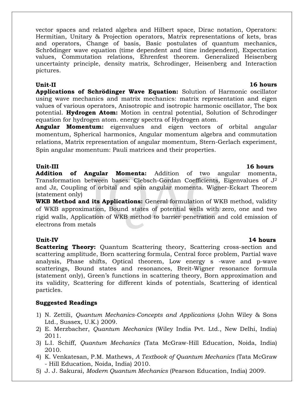vector spaces and related algebra and Hilbert space, Dirac notation, Operators: Hermitian, Unitary & Projection operators, Matrix representations of kets, bras and operators, Change of basis, Basic postulates of quantum mechanics, Schrödinger wave equation (time dependent and time independent), Expectation values, Commutation relations, Ehrenfest theorem. Generalized Heisenberg uncertainty principle, density matrix, Schrodinger, Heisenberg and Interaction pictures.

### **Unit-II 16 hours**

**Applications of Schrödinger Wave Equation:** Solution of Harmonic oscillator using wave mechanics and matrix mechanics: matrix representation and eigen values of various operators, Anisotropic and isotropic harmonic oscillator, The box potential. **Hydrogen Atom:** Motion in central potential, Solution of Schrodinger equation for hydrogen atom. energy spectra of Hydrogen atom.

**Angular Momentum:** eigenvalues and eigen vectors of orbital angular momentum, Spherical harmonics, Angular momentum algebra and commutation relations, Matrix representation of angular momentum, Stern-Gerlach experiment, Spin angular momentum: Pauli matrices and their properties.

**Addition of Angular Momenta:** Addition of two angular momenta, Transformation between bases: Clebsch-Gordan Coefficients, Eigenvalues of J<sup>2</sup> and Jz, Coupling of orbital and spin angular momenta. Wigner-Eckart Theorem (statement only)

**WKB Method and its Applications:** General formulation of WKB method, validity of WKB approximation, Bound states of potential wells with zero, one and two rigid walls, Application of WKB method to barrier penetration and cold emission of electrons from metals

**Scattering Theory:** Quantum Scattering theory, Scattering cross-section and scattering amplitude, Born scattering formula, Central force problem, Partial wave analysis, Phase shifts, Optical theorem, Low energy s -wave and p-wave scatterings, Bound states and resonances, Breit-Wigner resonance formula (statement only), Green's functions in scattering theory, Born approximation and its validity, Scattering for different kinds of potentials, Scattering of identical particles.

# **Suggested Readings**

- 1) N. Zettili, *Quantum Mechanics-Concepts and Applications* (John Wiley & Sons Ltd., Sussex, U.K.) 2009.
- 2) E. Merzbacher, *Quantum Mechanics* (Wiley India Pvt. Ltd., New Delhi, India) 2011.
- 3) L.I. Schiff, *Quantum Mechanics* (Tata McGraw-Hill Education, Noida, India) 2010.
- 4) K. Venkatesan, P.M. Mathews, *A Textbook of Quantum Mechanics* (Tata McGraw - Hill Education, Noida, India) 2010.
- 5) J. J. Sakurai, *Modern Quantum Mechanics* (Pearson Education, India) 2009.

### **Unit-III 16 hours**

### **Unit-IV 14 hours**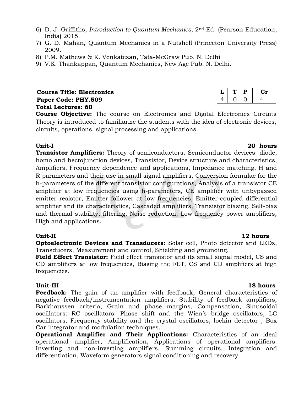- 6) D. J. Griffiths, *Introduction to Quantum Mechanics*, 2nd Ed. (Pearson Education, India) 2015.
- 7) G. D. Mahan, Quantum Mechanics in a Nutshell (Princeton University Press) 2009.
- 8) P.M. Mathews & K. Venkatesan, Tata-McGraw Pub. N. Delhi
- 9) V.K. Thankappan, Quantum Mechanics, New Age Pub. N. Delhi.

# $C$  **Course Title: Electronics Paper Code: PHY.509 Total Lectures: 60**

**Course Objective:** The course on Electronics and Digital Electronics Circuits Theory is introduced to familiarize the students with the idea of electronic devices, circuits, operations, signal processing and applications.

**Transistor Amplifiers:** Theory of semiconductors, Semiconductor devices: diode, homo and hectojunction devices, Transistor, Device structure and characteristics, Amplifiers, Frequency dependence and applications, Impedance matching, H and R parameters and their use in small signal amplifiers, Conversion formulae for the h-parameters of the different transistor configurations, Analysis of a transistor CE amplifier at low frequencies using h-parameters, CE amplifier with unbypassed emitter resistor, Emitter follower at low frequencies, Emitter-coupled differential amplifier and its characteristics, Cascaded amplifiers, Transistor biasing, Self-bias and thermal stability, filtering, Noise reduction, Low frequency power amplifiers, High and applications.

**Optoelectronic Devices and Transducers:** Solar cell, Photo detector and LEDs, Transducers, Measurement and control, Shielding and grounding.

**Field Effect Transistor:** Field effect transistor and its small signal model, CS and CD amplifiers at low frequencies, Biasing the FET, CS and CD amplifiers at high frequencies.

**Unit-III 18 hours Feedback:** The gain of an amplifier with feedback, General characteristics of negative feedback/instrumentation amplifiers, Stability of feedback amplifiers, Barkhaussen criteria, Grain and phase margins, Compensation, Sinusoidal oscillators: RC oscillators: Phase shift and the Wien's bridge oscillators, LC oscillators, Frequency stability and the crystal oscillators, lockin detector , Box Car integrator and modulation techniques.

**Operational Amplifier and Their Applications:** Characteristics of an ideal operational amplifier, Amplification, Applications of operational amplifiers: Inverting and non-inverting amplifiers, Summing circuits, Integration and differentiation, Waveform generators signal conditioning and recovery.

| ц | ρ |  |
|---|---|--|
|   |   |  |

### **Unit-II 12 hours**

# **Unit-I 20 hours**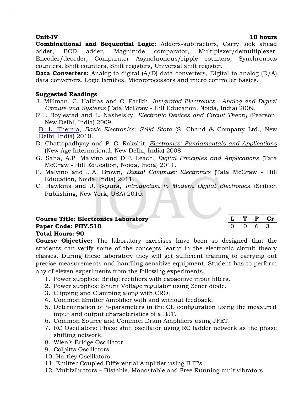### **Unit-IV 10 hours**

**Combinational and Sequential Logic:** Adders-subtractors, Carry look ahead adder, BCD adder, Magnitude comparator, Multiplexer/demultiplexer, Encoder/decoder, Comparator Asynchronous/ripple counters, Synchronous counters, Shift counters, Shift registers, Universal shift register.

**Data Converters:** Analog to digital (A/D) data converters, Digital to analog (D/A) data converters, Logic families, Microprocessors and micro controller basics.

### **Suggested Readings**

- J. Millman, C. Halkias and C. Parikh, *Integrated Electronics : Analog and Digital Circuits and Systems* (Tata McGraw - Hill Education, Noida, India) 2009.
- R.L. Boylestad and L. Nashelsky, *Electronic Devices and Circuit Theory* (Pearson, New Delhi, India) 2009.

[B. L. Theraja,](http://books.google.com/books/about/Basic_Electronics.html?id=GyZyhuY4SngC) *Basic Electronics: Solid State* (S. Chand & Company Ltd., New Delhi, India) 2010.

- D. Chattopadhyay and P. C*.* Rakshit, *[Electronics: Fundamentals and Applications](http://www.flipkart.com/electronics-fundamentals-applications-11th/p/itmdythgaggxzhrd)* (New Age International, New Delhi, India) 2008.
- G. Saha, A.P. Malvino and D.P. Leach, *Digital Principles and Applications* (Tata McGraw - Hill Education, Noida, India) 2011.
- P. Malvino and J.A. Brown, *Digital Computer Electronics* (Tata McGraw Hill Education, Noida, India) 2011.
- C. Hawkins and J. Segura, *Introduction to Modern Digital Electronics* (Scitech Publishing, New York, USA) 2010.

### **Course Title: Electronics Laboratory Paper Code: PHY.510 Total Hours: 90**

| ◡ |  |  |
|---|--|--|
|   |  |  |

**Course Objective:** The laboratory exercises have been so designed that the students can verify some of the concepts learnt in the electronic circuit theory classes. During these laboratory they will get sufficient training to carrying out precise measurements and handling sensitive equipment. Student has to perform any of eleven experiments from the following experiments.

- 1. Power supplies: Bridge rectifiers with capacitive input filters.
- 2. Power supplies: Shunt Voltage regulator using Zener diode.
- 3. Clipping and Clamping along with CRO.
- 4. Common Emitter Amplifier with and without feedback.
- 5. Determination of h-parameters in the CE configuration using the measured input and output characteristics of a BJT.
- 6. Common Source and Common Drain Amplifiers using JFET.
- 7. RC Oscillators: Phase shift oscillator using RC ladder network as the phase shifting network.
- 8. Wien's Bridge Oscillator.
- 9. Colpitts Oscillators.
- 10. Hartley Oscillators.
- 11. Emitter Coupled Differential Amplifier using BJT's.
- 12. Multivibrators Bistable, Monostable and Free Running multivibrators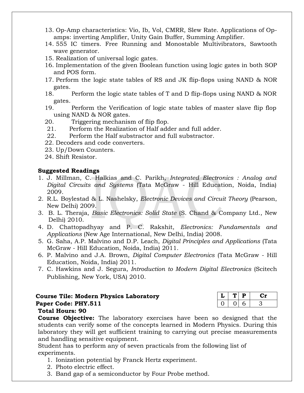- 13. Op-Amp characteristics: Vio, Ib, Vol, CMRR, Slew Rate. Applications of Opamps: inverting Amplifier, Unity Gain Buffer, Summing Amplifier.
- 14. 555 IC timers. Free Running and Monostable Multivibrators, Sawtooth wave generator.
- 15. Realization of universal logic gates.
- 16. Implementation of the given Boolean function using logic gates in both SOP and POS form.
- 17. Perform the logic state tables of RS and JK flip-flops using NAND & NOR gates.
- 18. Perform the logic state tables of T and D flip-flops using NAND & NOR gates.
- 19. Perform the Verification of logic state tables of master slave flip flop using NAND & NOR gates.
- 20. Triggering mechanism of flip flop.
- 21. Perform the Realization of Half adder and full adder.
- 22. Perform the Half substractor and full substractor.
- 22. Decoders and code converters.
- 23. Up/Down Counters.
- 24. Shift Resistor.

- 1. J. Millman, C. Halkias and C. Parikh, *Integrated Electronics : Analog and Digital Circuits and Systems* (Tata McGraw - Hill Education, Noida, India) 2009.
- 2. R.L. Boylestad & L. Nashelsky, *Electronic Devices and Circuit Theory* (Pearson, New Delhi) 2009.
- 3. B. L. Theraja, *Basic Electronics: Solid State* (S. Chand & Company Ltd., New Delhi) 2010.
- 4. D. Chattopadhyay and P. C*.* Rakshit, *Electronics: Fundamentals and Applications* (New Age International, New Delhi, India) 2008.
- 5. G. Saha, A.P. Malvino and D.P. Leach, *Digital Principles and Applications* (Tata McGraw - Hill Education, Noida, India) 2011.
- 6. P. Malvino and J.A. Brown, *Digital Computer Electronics* (Tata McGraw Hill Education, Noida, India) 2011.
- 7. C. Hawkins and J. Segura, *Introduction to Modern Digital Electronics* (Scitech Publishing, New York, USA) 2010.

# **Course Tile: Modern Physics Laboratory Paper Code: PHY.511**

| ◡ | в. |  |
|---|----|--|
|   | n  |  |

### **Total Hours: 90**

**Course Objective:** The laboratory exercises have been so designed that the students can verify some of the concepts learned in Modern Physics. During this laboratory they will get sufficient training to carrying out precise measurements and handling sensitive equipment.

Student has to perform any of seven practicals from the following list of experiments.

- 1. Ionization potential by Franck Hertz experiment.
- 2. Photo electric effect.
- 3. Band gap of a semiconductor by Four Probe method.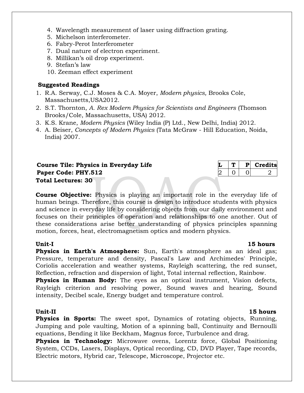- 4. Wavelength measurement of laser using diffraction grating.
- 5. Michelson interferometer.
- 6. Fabry-Perot Interferometer
- 7. Dual nature of electron experiment.
- 8. Millikan's oil drop experiment.
- 9. Stefan's law
- 10. Zeeman effect experiment

- 1. R.A. Serway, C.J. Moses & C.A. Moyer, *Modern physics,* Brooks Cole, Massachusetts,USA2012.
- 2. S.T. Thornton, *A. Rex Modern Physics for Scientists and Engineers* (Thomson Brooks/Cole, Massachusetts, USA) 2012.
- 3. K.S. Krane, *Modern Physics* (Wiley India (P) Ltd., New Delhi, India) 2012.
- 4. A. Beiser, *Concepts of Modern Physics* (Tata McGraw Hill Education, Noida, India) 2007.

# **Course Tile: Physics in Everyday Life Paper Code: PHY.512 Total Lectures: 30**

| <b>Course Objective:</b> Physics is playing an important role in the everyday life of |
|---------------------------------------------------------------------------------------|
| human beings. Therefore, this course is design to introduce students with physics     |
| and science in everyday life by considering objects from our daily environment and    |
| focuses on their principles of operation and relationships to one another. Out of     |
| these considerations arise better understanding of physics principles spanning        |
| motion, forces, heat, electromagnetism optics and modern physics.                     |

**Physics in Earth's Atmosphere:** Sun, Earth's atmosphere as an ideal gas; Pressure, temperature and density, Pascal's Law and Archimedes' Principle, Coriolis acceleration and weather systems, Rayleigh scattering, the red sunset, Reflection, refraction and dispersion of light, Total internal reflection, Rainbow.

**Physics in Human Body:** The eyes as an optical instrument, Vision defects, Rayleigh criterion and resolving power, Sound waves and hearing, Sound intensity, Decibel scale, Energy budget and temperature control.

**Physics in Sports:** The sweet spot, Dynamics of rotating objects, Running, Jumping and pole vaulting, Motion of a spinning ball, Continuity and Bernoulli equations, Bending it like Beckham, Magnus force, Turbulence and drag.

**Physics in Technology:** Microwave ovens, Lorentz force, Global Positioning System, CCDs, Lasers, Displays, Optical recording, CD, DVD Player, Tape records, Electric motors, Hybrid car, Telescope, Microscope, Projector etc.

### **Unit-I 15 hours**

### **Unit-II 15 hours**

|  | redits<br>. |
|--|-------------|
|  |             |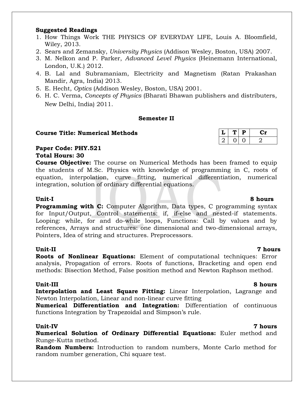- 1. How Things Work THE PHYSICS OF EVERYDAY LIFE, Louis A. Bloomfield, Wiley, 2013.
- 2. Sears and Zemansky, *University Physics* (Addison Wesley, Boston, USA) 2007.
- 3. M. Nelkon and P. Parker, *Advanced Level Physics* (Heinemann International, London, U.K.) 2012.
- 4. B. Lal and Subramaniam, Electricity and Magnetism (Ratan Prakashan Mandir, Agra, India) 2013.
- 5. E. Hecht, *Optics* (Addison Wesley, Boston, USA) 2001.
- 6. H. C. Verma, *Concepts of Physics* (Bharati Bhawan publishers and distributers, New Delhi, India) 2011.

### **Semester II**

### **Course Title: Numerical Methods**

# **Paper Code: PHY.521**

### **Total Hours: 30**

**Course Objective:** The course on Numerical Methods has been framed to equip the students of M.Sc. Physics with knowledge of programming in C, roots of equation, interpolation, curve fitting, numerical differentiation, numerical integration, solution of ordinary differential equations.

### **Unit-I 8 hours**

**Programming with C:** Computer Algorithm, Data types, C programming syntax for Input/Output, Control statements: if, if-else and nested-if statements. Looping: while, for and do-while loops, Functions: Call by values and by references, Arrays and structures: one dimensional and two-dimensional arrays, Pointers, Idea of string and structures. Preprocessors.

**Roots of Nonlinear Equations:** Element of computational techniques: Error analysis, Propagation of errors. Roots of functions, Bracketing and open end methods: Bisection Method, False position method and Newton Raphson method.

### **Unit-III 8 hours**

**Interpolation and Least Square Fitting:** Linear Interpolation, Lagrange and Newton Interpolation, Linear and non-linear curve fitting

**Numerical Differentiation and Integration:** Differentiation of continuous functions Integration by Trapezoidal and Simpson's rule.

### **Unit-IV 7 hours**

**Numerical Solution of Ordinary Differential Equations:** Euler method and Runge-Kutta method.

**Random Numbers:** Introduction to random numbers, Monte Carlo method for random number generation, Chi square test.

### **Unit-II 7 hours**

| , |  |  |
|---|--|--|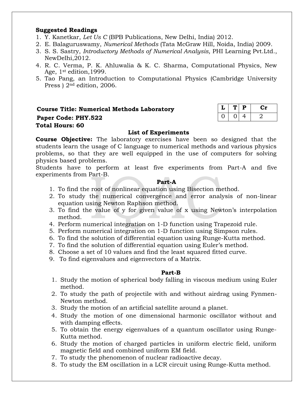- 1. Y. Kanetkar, *Let Us C* (BPB Publications, New Delhi, India) 2012.
- 2. E. Balaguruswamy, *Numerical Methods* (Tata McGraw Hill, Noida, India) 2009.
- 3. S. S. Sastry, *Introductory Methods of Numerical Analysis,* PHI Learning Pvt.Ltd., NewDelhi,2012.
- 4. R. C. Verma, P. K. Ahluwalia & K. C. Sharma, Computational Physics, New Age, 1st edition,1999.
- 5. Tao Pang, an Introduction to Computational Physics (Cambridge University Press ) 2nd edition, 2006.

# **Course Title: Numerical Methods Laboratory Paper Code: PHY.522 Total Hours: 60**

| L | г | D  | U 75 |
|---|---|----|------|
|   | 0 | ъ. |      |

### **List of Experiments**

**Course Objective:** The laboratory exercises have been so designed that the students learn the usage of C language to numerical methods and various physics problems, so that they are well equipped in the use of computers for solving physics based problems.

Students have to perform at least five experiments from Part-A and five experiments from Part-B.

### **Part-A**

- 1. To find the root of nonlinear equation using Bisection method.
- 2. To study the numerical convergence and error analysis of non-linear equation using Newton Raphson method.
- 3. To find the value of y for given value of x using Newton's interpolation method.
- 4. Perform numerical integration on 1-D function using Trapezoid rule.
- 5. Perform numerical integration on 1-D function using Simpson rules.
- 6. To find the solution of differential equation using Runge-Kutta method.
- 7. To find the solution of differential equation using Euler's method.
- 8. Choose a set of 10 values and find the least squared fitted curve.
- 9. To find eigenvalues and eigenvectors of a Matrix.

### **Part-B**

- 1. Study the motion of spherical body falling in viscous medium using Euler method.
- 2. To study the path of projectile with and without airdrag using Fynmen-Newton method.
- 3. Study the motion of an artificial satellite around a planet.
- 4. Study the motion of one dimensional harmonic oscillator without and with damping effects.
- 5. To obtain the energy eigenvalues of a quantum oscillator using Runge-Kutta method.
- 6. Study the motion of charged particles in uniform electric field, uniform magnetic field and combined uniform EM field.
- 7. To study the phenomenon of nuclear radioactive decay.
- 8. To study the EM oscillation in a LCR circuit using Runge-Kutta method.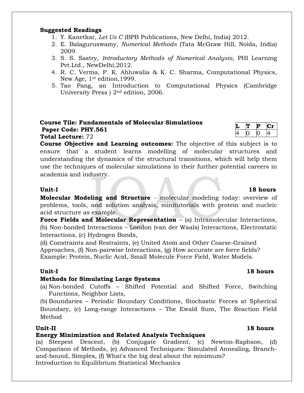- 1. Y. Kanetkar, *Let Us C* (BPB Publications, New Delhi, India) 2012.
- 2. E. Balaguruswamy, *Numerical Methods* (Tata McGraw Hill, Noida, India) 2009.
- 3. S. S. Sastry, *Introductory Methods of Numerical Analysis,* PHI Learning Pvt.Ltd., NewDelhi,2012.
- 4. R. C. Verma, P. K. Ahluwalia & K. C. Sharma, Computational Physics, New Age, 1st edition,1999.
- 5. Tao Pang, an Introduction to Computational Physics (Cambridge University Press ) 2nd edition, 2006.

### **Course Tile: Fundamentals of Molecular Simulations Paper Code: PHY.561 Total Lecture:** 72

**Course Objective and Learning outcomes:** The objective of this subject is to ensure that a student learns modelling of molecular structures and understanding the dynamics of the structural transitions, which will help them use the techniques of molecular simulations in their further potential careers in academia and industry.

**Molecular Modeling and Structure** - molecular modeling today: overview of problems, tools, and solution analysis, minitutorials with protein and nucleic acid structure as example.

**Force Fields and Molecular Representation** – (a) Intramolecular Interactions, (b) Non-bonded Interactions – London (van der Waals) Interactions, Electrostatic Interactions, (c) Hydrogen Bonds,

(d) Constraints and Restraints, (e) United Atom and Other Coarse-Grained Approaches, (f) Non-pairwise Interactions, (g) How accurate are force fields? Example: Protein, Nuclic Acid, Small Molecule Force Field, Water Models.

### **Unit-I 18 hours**

### **Methods for Simulating Large Systems**

(a) Non-bonded Cutoffs – Shifted Potential and Shifted Force, Switching Functions, Neighbor Lists,

(b) Boundaries – Periodic Boundary Conditions, Stochastic Forces at Spherical Boundary, (c) Long-range Interactions – The Ewald Sum, The Reaction Field Method

### Unit-II **Unit-II 18 hours**

### **Energy Minimization and Related Analysis Techniques**

(a) Steepest Descent, (b) Conjugate Gradient, (c) Newton-Raphson, (d) Comparison of Methods, (e) Advanced Techniques: Simulated Annealing, Branchand-bound, Simplex, (f) What's the big deal about the minimum? Introduction to Equilibrium Statistical Mechanics

### **Unit-I 18 hours**

 $\bf{Cr}$ 

4 0 0 4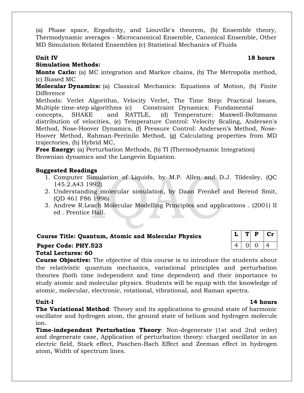(a) Phase space, Ergodicity, and Liouville's theorem, (b) Ensemble theory, Thermodynamic averages - Microcanonical Ensemble, Canonical Ensemble, Other MD Simulation Related Ensembles (c) Statistical Mechanics of Fluids

### **Unit IV 18 hours**

# **Simulation Methods:**

**Monte Carlo:** (a) MC integration and Markov chains, (b) The Metropolis method, (c) Biased MC

**Molecular Dynamics:** (a) Classical Mechanics: Equations of Motion, (b) Finite Difference

Methods: Verlet Algorithm, Velocity Verlet, The Time Step: Practical Issues, Multiple time-step algorithms (c) Constraint Dynamics: Fundamental

concepts, SHAKE and RATTLE, (d) Temperature: Maxwell-Boltzmann distribution of velocities, (e) Temperature Control: Velocity Scaling, Andersen's Method, Nose-Hoover Dynamics, (f) Pressure Control: Andersen's Method, Nose-Hoover Method, Rahman-Perrinilo Method, (g) Calculating properties from MD trajectories, (h) Hybrid MC,

**Free Energy:** (a) Perturbation Methods, (b) TI (Thermodynamic Integration) Brownian dynamics and the Langevin Equation.

### **Suggested Readings**

- 1. Computer Simulation of Liquids, by M.P. Allen and D.J. Tildesley, (QC 145.2.A43 1992)
- 2. Understanding molecular simulation, by Daan Frenkel and Berend Smit, (QD 461 F86 1996)
- 3. Andrew R.Leach Molecular Modelling Principles and applications . (2001) II ed . Prentice Hall.

### **Course Title: Quantum, Atomic and Molecular Physics**

### **Paper Code: PHY.523**

**Total Lectures: 60**

**Course Objective:** The objective of this course is to introduce the students about the relativistic quantum mechanics, variational principles and perturbation theories (both time independent and time dependent) and their importance to study atomic and molecular physics. Students will be equip with the knowledge of atomic, molecular, electronic, rotational, vibrational, and Raman spectra.

**The Variational Method**: Theory and its applications to ground state of harmonic oscillator and hydrogen atom, the ground state of helium and hydrogen molecule ion.

**Time-independent Perturbation Theory**: Non-degenerate (1st and 2nd order) and degenerate case, Application of perturbation theory: charged oscillator in an electric field, Stark effect, Paschen-Bach Effect and Zeeman effect in hydrogen atom, Width of spectrum lines.

|  | в. |     |
|--|----|-----|
|  | 0  | . . |

### **Unit-I 14 hours**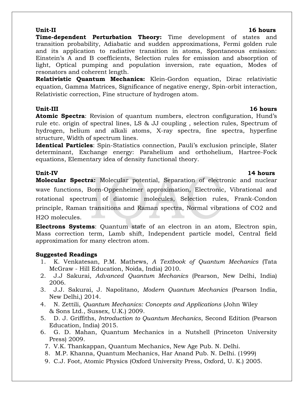**Time-dependent Perturbation Theory:** Time development of states and transition probability, Adiabatic and sudden approximations, Fermi golden rule and its application to radiative transition in atoms, Spontaneous emission: Einstein's A and B coefficients, Selection rules for emission and absorption of light, Optical pumping and population inversion, rate equation, Modes of resonators and coherent length.

**Relativistic Quantum Mechanics:** Klein-Gordon equation, Dirac relativistic equation, Gamma Matrices, Significance of negative energy, Spin-orbit interaction, Relativistic correction, Fine structure of hydrogen atom.

**Atomic Spectra**: Revision of quantum numbers, electron configuration, Hund's rule etc. origin of spectral lines, LS & JJ coupling , selection rules, Spectrum of hydrogen, helium and alkali atoms, X-ray spectra, fine spectra, hyperfine structure, Width of spectrum lines.

**Identical Particles**: Spin-Statistics connection, Pauli's exclusion principle, Slater determinant, Exchange energy: Parahelium and orthohelium, Hartree-Fock equations, Elementary idea of density functional theory.

**Unit-IV 14 hours Molecular Spectra:** Molecular potential, Separation of electronic and nuclear wave functions, Born-Oppenheimer approximation, Electronic, Vibrational and rotational spectrum of diatomic molecules, Selection rules, Frank-Condon principle, Raman transitions and Raman spectra, Normal vibrations of CO2 and H2O molecules.

**Electrons Systems**: Quantum state of an electron in an atom, Electron spin, Mass correction term, Lamb shift, Independent particle model, Central field approximation for many electron atom.

### **Suggested Readings**

- 1. K. Venkatesan, P.M. Mathews, *A Textbook of Quantum Mechanics* (Tata McGraw - Hill Education, Noida, India) 2010.
- 2. J.J Sakurai, *Advanced Quantum Mechanics* (Pearson, New Delhi, India) 2006.
- 3. J.J. Sakurai, J. Napolitano, *Modern Quantum Mechanics* (Pearson India, New Delhi,) 2014.
- 4. N. Zettili, *Quantum Mechanics: Concepts and Applications* (John Wiley & Sons Ltd., Sussex, U.K.) 2009.
- 5. D. J. Griffiths, *Introduction to Quantum Mechanics*, Second Edition (Pearson Education, India) 2015.
- 6. G. D. Mahan, Quantum Mechanics in a Nutshell (Princeton University Press) 2009.
	- 7. V.K. Thankappan, Quantum Mechanics, New Age Pub. N. Delhi.
	- 8. M.P. Khanna, Quantum Mechanics, Har Anand Pub. N. Delhi. (1999)
	- 9. C.J. Foot, Atomic Physics (Oxford University Press, Oxford, U. K.) 2005.

### **Unit-II 16 hours**

### **Unit-III 16 hours**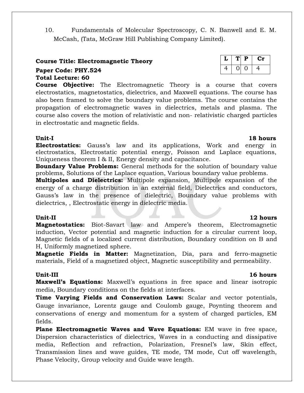10. Fundamentals of Molecular Spectroscopy, C. N. Banwell and E. M. McCash, (Tata, McGraw Hill Publishing Company Limited).

# **Course Title: Electromagnetic Theory**  $\begin{bmatrix} L & T & P & Cr \end{bmatrix}$

# **Paper Code: PHY.524**  $\begin{array}{|c|c|c|c|c|} \hline \end{array}$   $\begin{array}{|c|c|c|c|c|} \hline \end{array}$   $\begin{array}{|c|c|c|c|c|} \hline \end{array}$   $\begin{array}{|c|c|c|c|c|} \hline \end{array}$   $\begin{array}{|c|c|c|c|c|} \hline \end{array}$   $\begin{array}{|c|c|c|c|c|} \hline \end{array}$   $\begin{array}{|c|c|c|c|c|} \hline \end{array}$   $\begin{$ **Total Lecture: 60**

**Course Objective:** The Electromagnetic Theory is a course that covers electrostatics, magnetostatics, dielectrics, and Maxwell equations. The course has also been framed to solve the boundary value problems. The course contains the propagation of electromagnetic waves in dielectrics, metals and plasma. The course also covers the motion of relativistic and non- relativistic charged particles in electrostatic and magnetic fields.

**Electrostatics:** Gauss's law and its applications, Work and energy in electrostatics, Electrostatic potential energy, Poisson and Laplace equations, Uniqueness theorem I & II, Energy density and capacitance.

**Boundary Value Problems:** General methods for the solution of boundary value problems, Solutions of the Laplace equation, Various boundary value problems.

**Multipoles and Dielectrics:** Multipole expansion, Multipole expansion of the energy of a charge distribution in an external field, Dielectrics and conductors, Gauss's law in the presence of dielectric, Boundary value problems with dielectrics, , Electrostatic energy in dielectric media.

### **Unit-II 12 hours**

**Magnetostatics:** Biot-Savart law and Ampere's theorem, Electromagnetic induction, Vector potential and magnetic induction for a circular current loop, Magnetic fields of a localized current distribution, Boundary condition on B and H, Uniformly magnetized sphere.

**Magnetic Fields in Matter:** Magnetization, Dia, para and ferro-magnetic materials, Field of a magnetized object, Magnetic susceptibility and permeability.

**Maxwell's Equations:** Maxwell's equations in free space and linear isotropic media, Boundary conditions on the fields at interfaces.

**Time Varying Fields and Conservation Laws:** Scalar and vector potentials, Gauge invariance, Lorentz gauge and Coulomb gauge, Poynting theorem and conservations of energy and momentum for a system of charged particles, EM fields.

**Plane Electromagnetic Waves and Wave Equations:** EM wave in free space, Dispersion characteristics of dielectrics, Waves in a conducting and dissipative media, Reflection and refraction, Polarization, Fresnel's law, Skin effect, Transmission lines and wave guides, TE mode, TM mode, Cut off wavelength, Phase Velocity, Group velocity and Guide wave length.

### **Unit-III 16 hours**



# **Unit-I 18 hours**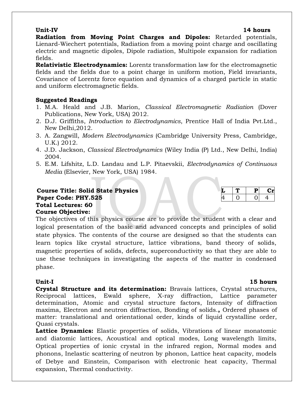### **Unit-IV 14 hours Radiation from Moving Point Charges and Dipoles:** Retarded potentials, Lienard-Wiechert potentials, Radiation from a moving point charge and oscillating electric and magnetic dipoles, Dipole radiation, Multipole expansion for radiation fields.

**Relativistic Electrodynamics:** Lorentz transformation law for the electromagnetic fields and the fields due to a point charge in uniform motion, Field invariants, Covariance of Lorentz force equation and dynamics of a charged particle in static and uniform electromagnetic fields.

# **Suggested Readings**

- 1. M.A. Heald and J.B. Marion, *Classical Electromagnetic Radiation* (Dover Publications, New York, USA) 2012.
- 2. D.J. Griffiths, *Introduction to Electrodynamics*, Prentice Hall of India Pvt.Ltd., New Delhi,2012.
- 3. A. Zangwill, *Modern Electrodynamics* (Cambridge University Press, Cambridge, U.K.) 2012.
- 4. J.D. Jackson, *Classical Electrodynamics* (Wiley India (P) Ltd., New Delhi, India) 2004.
- 5. E.M. Lifshitz, L.D. Landau and L.P. Pitaevskii, *Electrodynamics of Continuous Media* (Elsevier, New York, USA) 1984.

# **Course Title: Solid State Physics Paper Code: PHY.525 Total Lectures: 60 Course Objective:**

The objectives of this physics course are to provide the student with a clear and logical presentation of the basic and advanced concepts and principles of solid state physics. The contents of the course are designed so that the students can learn topics like crystal structure, lattice vibrations, band theory of solids, magnetic properties of solids, defects, superconductivity so that they are able to use these techniques in investigating the aspects of the matter in condensed phase.

**Crystal Structure and its determination:** Bravais lattices, Crystal structures, Reciprocal lattices, Ewald sphere, X-ray diffraction, Lattice parameter determination, Atomic and crystal structure factors, Intensity of diffraction maxima, Electron and neutron diffraction, Bonding of solids.**,** Ordered phases of matter: translational and orientational order, kinds of liquid crystalline order, Quasi crystals.

**Lattice Dynamics:** Elastic properties of solids, Vibrations of linear monatomic and diatomic lattices, Acoustical and optical modes, Long wavelength limits, Optical properties of ionic crystal in the infrared region, Normal modes and phonons, Inelastic scattering of neutron by phonon, Lattice heat capacity, models of Debye and Einstein, Comparison with electronic heat capacity, Thermal expansion, Thermal conductivity.

## **Unit-I 15 hours**

|  | н |  |
|--|---|--|
|  |   |  |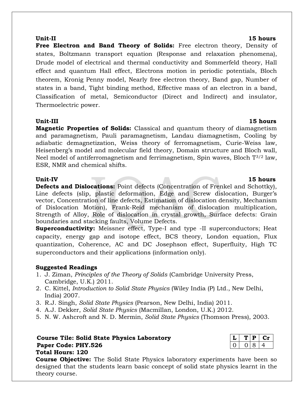**Free Electron and Band Theory of Solids:** Free electron theory, Density of states, Boltzmann transport equation (Response and relaxation phenomena), Drude model of electrical and thermal conductivity and Sommerfeld theory, Hall effect and quantum Hall effect, Electrons motion in periodic potentials, Bloch theorem, Kronig Penny model, Nearly free electron theory, Band gap, Number of states in a band, Tight binding method, Effective mass of an electron in a band, Classification of metal, Semiconductor (Direct and Indirect) and insulator, Thermoelectric power.

### **Unit-III 15 hours**

**Magnetic Properties of Solids:** Classical and quantum theory of diamagnetism and paramagnetism, Pauli paramagnetism, Landau diamagnetism, Cooling by adiabatic demagnetization, Weiss theory of ferromagnetism, Curie-Weiss law, Heisenberg's model and molecular field theory, Domain structure and Bloch wall, Neel model of antiferromagnetism and ferrimagnetism, Spin waves, Bloch T3/2 law, ESR, NMR and chemical shifts.

**Unit-IV 15 hours Defects and Dislocations:** Point defects (Concentration of Frenkel and Schottky), Line defects (slip, plastic deformation, Edge and Screw dislocation, Burger's vector, Concentration of line defects, Estimation of dislocation density, Mechanism of Dislocation Motion), Frank-Reid mechanism of dislocation multiplication, Strength of Alloy, Role of dislocation in crystal growth, Surface defects: Grain boundaries and stacking faults, Volume Defects.

**Superconductivity:** Meissner effect, Type-I and type -II superconductors; Heat capacity, energy gap and isotope effect, BCS theory, London equation, Flux quantization, Coherence, AC and DC Josephson effect, Superfluity, High TC superconductors and their applications (information only).

### **Suggested Readings**

- 1. J. Ziman, *Principles of the Theory of Solids* (Cambridge University Press, Cambridge, U.K.) 2011.
- 2. C. Kittel, *Introduction to Solid State Physics* (Wiley India (P) Ltd., New Delhi, India) 2007.
- 3. R.J. Singh, *Solid State Physics* (Pearson, New Delhi, India) 2011.
- 4. A.J. Dekker, *Solid State Physics* (Macmillan, London, U.K.) 2012.
- 5. N. W. Ashcroft and N. D. Mermin, *Solid State Physics* (Thomson Press), 2003.

**Course Tile: Solid State Physics Laboratory Paper Code: PHY.526 Total Hours: 120**

|  | o de |  |
|--|------|--|
|  |      |  |

**Course Objective:** The Solid State Physics laboratory experiments have been so designed that the students learn basic concept of solid state physics learnt in the theory course.

### **Unit-II 15 hours**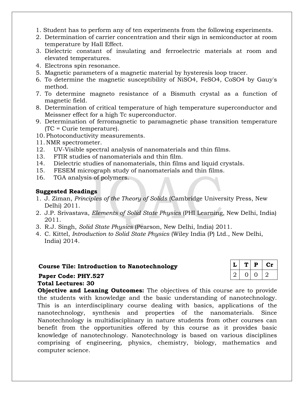- 1. Student has to perform any of ten experiments from the following experiments.
- 2. Determination of carrier concentration and their sign in semiconductor at room temperature by Hall Effect.
- 3. Dielectric constant of insulating and ferroelectric materials at room and elevated temperatures.
- 4. Electrons spin resonance.
- 5. Magnetic parameters of a magnetic material by hysteresis loop tracer.
- 6. To determine the magnetic susceptibility of NiSO4, FeSO4, CoSO4 by Gauy's method.
- 7. To determine magneto resistance of a Bismuth crystal as a function of magnetic field.
- 8. Determination of critical temperature of high temperature superconductor and Meissner effect for a high Tc superconductor.
- 9. Determination of ferromagnetic to paramagnetic phase transition temperature (TC = Curie temperature).
- 10. Photoconductivity measurements.
- 11. NMR spectrometer.
- 12. UV-Visible spectral analysis of nanomaterials and thin films.
- 13. FTIR studies of nanomaterials and thin film.
- 14. Dielectric studies of nanomaterials, thin films and liquid crystals.
- 15. FESEM micrograph study of nanomaterials and thin films.
- 16. TGA analysis of polymers.

- 1. J. Ziman, *Principles of the Theory of Solids* (Cambridge University Press, New Delhi) 2011.
- 2. J.P. Srivastava, *Elements of Solid State Physics* (PHI Learning, New Delhi, India) 2011.
- 3. R.J. Singh, *Solid State Physics* (Pearson, New Delhi, India) 2011.
- 4. C. Kittel, *Introduction to Solid State Physics* (Wiley India (P) Ltd., New Delhi, India) 2014.

### **Course Tile: Introduction to Nanotechnology**

| L             | T   | Р | C1 |
|---------------|-----|---|----|
| $\mathcal{L}$ | ו ו |   |    |

### **Paper Code: PHY.527**

### **Total Lectures: 30**

**Objective and Leaning Outcomes:** The objectives of this course are to provide the students with knowledge and the basic understanding of nanotechnology. This is an interdisciplinary course dealing with basics, applications of the nanotechnology, synthesis and properties of the nanomaterials. Since Nanotechnology is multidisciplinary in nature students from other courses can benefit from the opportunities offered by this course as it provides basic knowledge of nanotechnology. Nanotechnology is based on various disciplines comprising of engineering, physics, chemistry, biology, mathematics and computer science.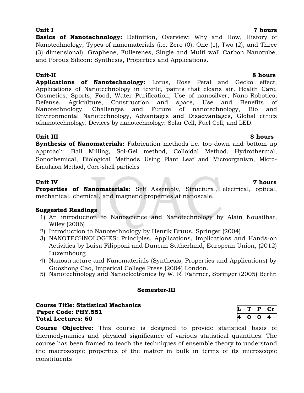# **Unit I 7 hours**

**Basics of Nanotechnology:** Definition, Overview: Why and How, History of Nanotechnology, Types of nanomaterials (i.e. Zero (0), One (1), Two (2), and Three (3) dimensional), Graphene, Fullerenes, Single and Multi wall Carbon Nanotube, and Porous Silicon: Synthesis, Properties and Applications.

## **Unit-II 8 hours**

**Applications of Nanotechnology:** Lotus, Rose Petal and Gecko effect, Applications of Nanotechnology in textile, paints that cleans air, Health Care, Cosmetics, Sports, Food, Water Purification, Use of nanosilver, Nano-Robotics, Defense, Agriculture, Construction and space, Use and Benefits of Nanotechnology, Challenges and Future of nanotechnology, Bio and Environmental Nanotechnology, Advantages and Disadvantages, Global ethics ofnanotechnology. Devices by nanotechnology: Solar Cell, Fuel Cell, and LED.

**Unit III 8 hours Synthesis of Nanomaterials:** Fabrication methods i.e. top-down and bottom-up approach: Ball Milling, Sol-Gel method, Colloidal Method, Hydrothermal, Sonochemical, Biological Methods Using Plant Leaf and Microorganism, Micro-Emulsion Method, Core-shell particles

# **Unit IV 7 hours**

**Properties of Nanomaterials:** Self Assembly, Structural, electrical, optical, mechanical, chemical, and magnetic properties at nanoscale.

# **Suggested Readings**

- 1) An introduction to Nanoscience and Nanotechnology by Alain Nouailhat, Wiley (2006)
- 2) Introduction to Nanotechnology by Henrik Bruus, Springer (2004)
- 3) NANOTECHNOLOGIES: Principles, Applications, Implications and Hands-on Activities by Luisa Filipponi and Duncan Sutherland, European Union, (2012) Luxembourg
- 4) Nanostructure and Nanomaterials (Synthesis, Properties and Applications) by Guozhong Cao, Imperical College Press (2004) London.
- 5) Nanotechnology and Nanoelectronics by W. R. Fahrner, Springer (2005) Berlin

# **Semester-III**

**Course Title: Statistical Mechanics Paper Code: PHY.551 Total Lectures: 60**

 $\bf{Cr}$ **4 0 0 4**

**Course Objective:** This course is designed to provide statistical basis of thermodynamics and physical significance of various statistical quantities. The course has been framed to teach the techniques of ensemble theory to understand the macroscopic properties of the matter in bulk in terms of its microscopic constituents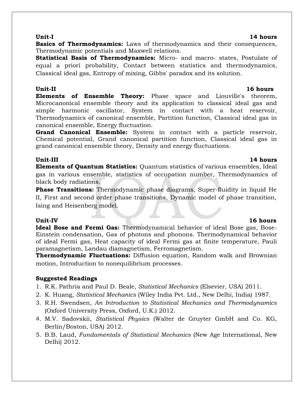**Basics of Thermodynamics:** Laws of thermodynamics and their consequences, Thermodynamic potentials and Maxwell relations.

**Statistical Basis of Thermodynamics:** Micro- and macro- states, Postulate of equal a priori probability, Contact between statistics and thermodynamics, Classical ideal gas, Entropy of mixing, Gibbs' paradox and its solution.

**Unit-II 16 hours Elements of Ensemble Theory:** Phase space and Liouville's theorem, Microcanonical ensemble theory and its application to classical ideal gas and simple harmonic oscillator, System in contact with a heat reservoir, Thermodynamics of canonical ensemble, Partition function, Classical ideal gas in canonical ensemble, Energy fluctuation.

**Grand Canonical Ensemble:** System in contact with a particle reservoir, Chemical potential, Grand canonical partition function, Classical ideal gas in grand canonical ensemble theory, Density and energy fluctuations.

**Unit-III 14 hours Elements of Quantum Statistics:** Quantum statistics of various ensembles, Ideal gas in various ensemble, statistics of occupation number, Thermodynamics of black body radiations.

**Phase Transitions:** Thermodynamic phase diagrams, Super-fluidity in liquid He II, First and second order phase transitions, Dynamic model of phase transition, Ising and Heisenberg model.

**Unit-IV 16 hours Ideal Bose and Fermi Gas:** Thermodynamical behavior of ideal Bose gas, Bose-Einstein condensation, Gas of photons and phonons. Thermodynamical behavior of ideal Fermi gas, Heat capacity of ideal Fermi gas at finite temperature, Pauli paramagnetism, Landau diamagnetism, Ferromagnetism.

**Thermodynamic Fluctuations:** Diffusion equation, Random walk and Brownian motion, Introduction to nonequilibrium processes.

# **Suggested Readings**

- 1. R.K. Pathria and Paul D. Beale, *Statistical Mechanics* (Elsevier, USA) 2011.
- 2. K. Huang, *Statistical Mechanics* (Wiley India Pvt. Ltd., New Delhi, India) 1987.
- 3. R.H. Swendsen, *An Introduction to Statistical Mechanics and Thermodynamics* (Oxford University Press, Oxford, U.K.) 2012.
- 4. M.V. Sadovskii, *Statistical Physics* (Walter de Gruyter GmbH and Co. KG, Berlin/Boston, USA) 2012.
- 5. B.B. Laud, *Fundamentals of Statistical Mechanics* (New Age International, New Delhi) 2012.

### **Unit-I 14 hours**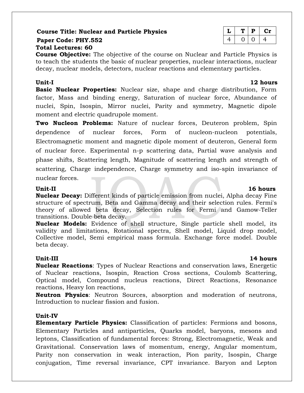### **Course Title: Nuclear and Particle Physics**  $\vert L \vert T \vert P \vert$  **Cr**

# **Paper Code: PHY.552** 4 0 0 4

### **Total Lectures: 60**

**Course Objective:** The objective of the course on Nuclear and Particle Physics is to teach the students the basic of nuclear properties, nuclear interactions, nuclear decay, nuclear models, detectors, nuclear reactions and elementary particles.

### **Unit-I 12 hours**

**Basic Nuclear Properties:** Nuclear size, shape and charge distribution, Form factor, Mass and binding energy, Saturation of nuclear force, Abundance of nuclei, Spin, Isospin, Mirror nuclei, Parity and symmetry, Magnetic dipole moment and electric quadrupole moment.

**Two Nucleon Problems:** Nature of nuclear forces, Deuteron problem, Spin dependence of nuclear forces, Form of nucleon-nucleon potentials, Electromagnetic moment and magnetic dipole moment of deuteron, General form of nuclear force. Experimental n-p scattering data, Partial wave analysis and phase shifts, Scattering length, Magnitude of scattering length and strength of scattering, Charge independence, Charge symmetry and iso-spin invariance of nuclear forces.

**Nuclear Decay:** Different kinds of particle emission from nuclei, Alpha decay Fine structure of spectrum, Beta and Gamma decay and their selection rules. Fermi's theory of allowed beta decay, Selection rules for Fermi and Gamow-Teller transitions. Double beta decay.

**Nuclear Models:** Evidence of shell structure, Single particle shell model, its validity and limitations, Rotational spectra, Shell model, Liquid drop model, Collective model, Semi empirical mass formula. Exchange force model. Double beta decay.

### **Unit-III 14 hours**

**Nuclear Reactions**: Types of Nuclear Reactions and conservation laws, Energetic of Nuclear reactions, Isospin, Reaction Cross sections, Coulomb Scattering, Optical model, Compound nucleus reactions, Direct Reactions, Resonance reactions, Heavy Ion reactions,

**Neutron Physics**: Neutron Sources, absorption and moderation of neutrons, Introduction to nuclear fission and fusion.

### **Unit-IV**

**Elementary Particle Physics:** Classification of particles: Fermions and bosons, Elementary Particles and antiparticles, Quarks model, baryons, mesons and leptons, Classification of fundamental forces: Strong, Electromagnetic, Weak and Gravitational. Conservation laws of momentum, energy, Angular momentum, Parity non conservation in weak interaction, Pion parity, Isospin, Charge conjugation, Time reversal invariance, CPT invariance. Baryon and Lepton

# **Unit-II 16 hours**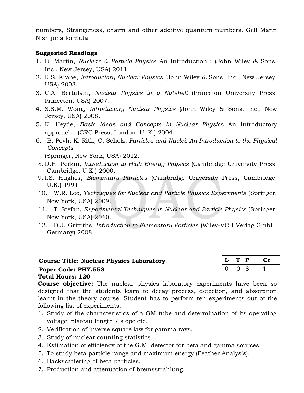numbers, Strangeness, charm and other additive quantum numbers, Gell Mann Nishijima formula.

### **Suggested Readings**

- 1. B. Martin, *Nuclear & Particle Physics* An Introduction : (John Wiley & Sons, Inc., New Jersey, USA) 2011.
- 2. K.S. Krane, *Introductory Nuclear Physics* (John Wiley & Sons, Inc., New Jersey, USA) 2008.
- 3. C.A. Bertulani, *Nuclear Physics in a Nutshell* (Princeton University Press, Princeton, USA) 2007.
- 4. S.S.M. Wong, *Introductory Nuclear Physics* (John Wiley & Sons, Inc., New Jersey, USA) 2008.
- 5. K. Heyde, *Basic Ideas and Concepts in Nuclear Physics* An Introductory approach : (CRC Press, London, U. K.) 2004.
- 6. B. Povh, K. Rith, C. Scholz, *Particles and Nuclei: An Introduction to the Physical Concepts*

(Springer, New York, USA) 2012.

- 8. D.H. Perkin, *Introduction to High Energy Physics* (Cambridge University Press, Cambridge, U.K.) 2000.
- 9. I.S. Hughes, *Elementary Particles* (Cambridge University Press, Cambridge, U.K.) 1991.
- 10. W.R. Leo, *Techniques for Nuclear and Particle Physics Experiments* (Springer, New York, USA) 2009.
- 11. T. Stefan, *Experimental Techniques in Nuclear and Particle Physics* (Springer, New York, USA) 2010.
- 12. D.J. Griffiths, *Introduction to Elementary Particles* (Wiley-VCH Verlag GmbH, Germany) 2008.

### **Course Title: Nuclear Physics Laboratory Paper Code: PHY.553**

| ┕ | т.       | Р. |  |
|---|----------|----|--|
|   | $\Omega$ | ×. |  |

### **Total Hours: 120**

**Course objective:** The nuclear physics laboratory experiments have been so designed that the students learn to decay process, detection, and absorption learnt in the theory course. Student has to perform ten experiments out of the following list of experiments.

- 1. Study of the characteristics of a GM tube and determination of its operating voltage, plateau length / slope etc.
- 2. Verification of inverse square law for gamma rays.
- 3. Study of nuclear counting statistics.
- 4. Estimation of efficiency of the G.M. detector for beta and gamma sources.
- 5. To study beta particle range and maximum energy (Feather Analysis).
- 6. Backscattering of beta particles.
- 7. Production and attenuation of bremsstrahlung.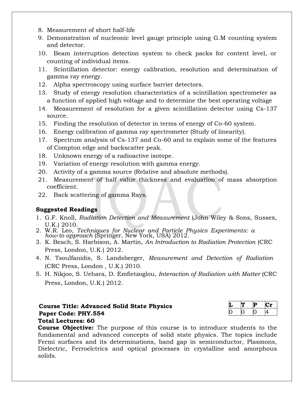- 8. Measurement of short half-life
- 9. Demonstration of nucleonic level gauge principle using G.M counting system and detector.
- 10. Beam interruption detection system to check packs for content level, or counting of individual items.
- 11. Scintillation detector: energy calibration, resolution and determination of gamma ray energy.
- 12. Alpha spectroscopy using surface barrier detectors.
- 13. Study of energy resolution characteristics of a scintillation spectrometer as a function of applied high voltage and to determine the best operating voltage
- 14. Measurement of resolution for a given scintillation detector using Cs-137 source.
- 15. Finding the resolution of detector in terms of energy of Co-60 system.
- 16. Energy calibration of gamma ray spectrometer (Study of linearity).
- 17. Spectrum analysis of Cs-137 and Co-60 and to explain some of the features of Compton edge and backscatter peak.
- 18. Unknown energy of a radioactive isotope.
- 19. Variation of energy resolution with gamma energy.
- 20. Activity of a gamma source (Relative and absolute methods).
- 21. Measurement of half value thickness and evaluation of mass absorption coefficient.
- 22. Back scattering of gamma Rays.

- 1. G.F. Knoll, *Radiation Detection and Measurement* (John Wiley & Sons, Sussex, U.K.) 2010.
- 2. W.R. Leo, *Techniques for Nuclear and Particle Physics Experiments: a how-to approach* (Springer, New York, USA) 2012.
- 3. K. Beach, S. Harbison, A. Martin, *An Introduction to Radiation Protection* (CRC Press, London, U.K.) 2012.
- 4. N. Tsoulfanidis, S. Landsberger, *Measurement and Detection of Radiation* (CRC Press, London , U.K.) 2010.
- 5. H. Nikjoo, S. Uehara, D. Emfietzoglou, *Interaction of Radiation with Matter* (CRC Press, London, U.K.) 2012.

# **Course Title: Advanced Solid State Physics Paper Code: PHY.554**

| Г | ш |  |
|---|---|--|
| ш |   |  |

### **Total Lectures: 60**

**Course Objective:** The purpose of this course is to introduce students to the fundamental and advanced concepts of solid state physics. The topics include Fermi surfaces and its determinations, band gap in semiconductor, Plasmons, Dielectric, Ferroelctrics and optical processes in crystalline and amorphous solids.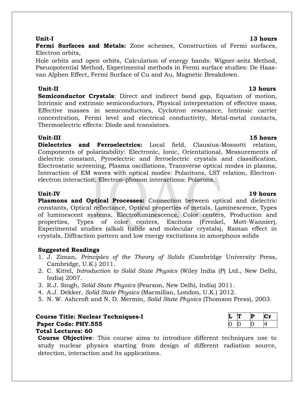### **Unit-I 13 hours**

**Fermi Surfaces and Metals:** Zone schemes, Construction of Fermi surfaces, Electron orbits,

Hole orbits and open orbits, Calculation of energy bands: Wigner-seitz Method, Pseuopotential Method, Experimental methods in Fermi surface studies: De Haasvan Alphen Effect, Fermi Surface of Cu and Au, Magnetic Breakdown.

### **Unit-II 13 hours**

**Semiconductor Crystals**: Direct and indirect band gap, Equation of motion, Intrinsic and extrinsic semiconductors, Physical interpretation of effective mass, Effective masses in semiconductors, Cyclotron resonance, Intrinsic carrier concentration, Fermi level and electrical conductivity, Metal-metal contacts, Thermoelectric effects: Diode and transistors.

### **Unit-III 15 hours**

**Dielectrics and Ferroelectrics:** Local field, Clausius-Mossotti relation, Components of polarizability: Electronic, Ionic, Orientational, Measurements of dielectric constant, Pyroelectric and ferroelectric crystals and classification, Electrostatic screening, Plasma oscillations, Transverse optical modes in plasma, Interaction of EM waves with optical modes: Polaritons, LST relation, Electronelectron interaction, Electron-phonon interactions: Polarons.

**Unit-IV 19 hours Plasmons and Optical Processes:** Connection between optical and dielectric constants, Optical reflectance, Optical properties of metals, Luminescence, Types of luminescent systems, Electroluminescence, Color centers, Production and properties, Types of color centers, Excitons (Frenkel, Mott-Wannier), Experimental studies (alkali halide and molecular crystals), Raman effect in crystals, Diffraction pattern and low energy excitations in amorphous solids

### **Suggested Readings**

- 1. J. Ziman, *Principles of the Theory of Solids* (Cambridge University Press, Cambridge, U.K.) 2011.
- 2. C. Kittel, *Introduction to Solid State Physics* (Wiley India (P) Ltd., New Delhi, India) 2007.
- 3. R.J. Singh, *Solid State Physics* (Pearson, New Delhi, India) 2011.
- 4. A.J. Dekker, *Solid State Physics* (Macmillan, London, U.K.) 2012.
- 5. N. W. Ashcroft and N. D. Mermin, *Solid State Physics* (Thomson Press), 2003.

### **Course Title: Nuclear Techniques-I L T P Cr Paper Code: PHY.555 Total Lectures: 60**

**Course Objective**: This course aims to introduce different techniques use to study nuclear physics starting from design of different radiation source, detection, interaction and its applications.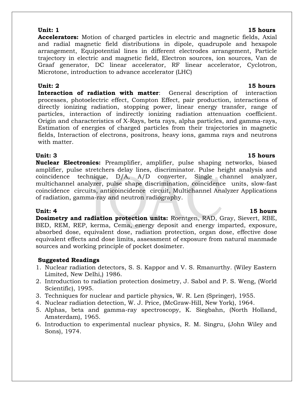**Accelerators:** Motion of charged particles in electric and magnetic fields, Axial and radial magnetic field distributions in dipole, quadrupole and hexapole arrangement, Equipotential lines in different electrodes arrangement, Particle trajectory in electric and magnetic field, Electron sources, ion sources, Van de Graaf generator, DC linear accelerator, RF linear accelerator, Cyclotron, Microtone, introduction to advance accelerator (LHC)

**Interaction of radiation with matter**: General description of interaction processes, photoelectric effect, Compton Effect, pair production, interactions of directly ionizing radiation, stopping power, linear energy transfer, range of particles, interaction of indirectly ionizing radiation attenuation coefficient. Origin and characteristics of X-Rays, beta rays, alpha particles, and gamma-rays, Estimation of energies of charged particles from their trajectories in magnetic fields, Interaction of electrons, positrons, heavy ions, gamma rays and neutrons with matter.

**Nuclear Electronics:** Preamplifier, amplifier, pulse shaping networks, biased amplifier, pulse stretchers delay lines, discriminator. Pulse height analysis and coincidence technique, D/A, A/D converter, Single channel analyzer, multichannel analyzer, pulse shape discrimination, coincidence units, slow-fast coincidence circuits, anticoincidence circuit, Multichannel Analyzer Applications of radiation, gamma-ray and neutron radiography.

**Dosimetry and radiation protection units:** Roentgen, RAD, Gray, Sievert, RBE, BED, REM, REP, kerma, Cema, energy deposit and energy imparted, exposure, absorbed dose, equivalent dose, radiation protection, organ dose, effective dose equivalent effects and dose limits, assessment of exposure from natural manmade sources and working principle of pocket dosimeter.

# **Suggested Readings**

- 1. Nuclear radiation detectors, S. S. Kappor and V. S. Rmanurthy. (Wiley Eastern Limited, New Delhi,) 1986.
- 2. Introduction to radiation protection dosimetry, J. Sabol and P. S. Weng, (World Scientific), 1995.
- 3. Techniques for nuclear and particle physics, W. R. Len (Springer), 1955.
- 4. Nuclear radiation detection, W. J. Price, (McGraw-Hill, New York), 1964.
- 5. Alphas, beta and gamma-ray spectroscopy, K. Siegbahn, (North Holland, Amsterdam), 1965.
- 6. Introduction to experimental nuclear physics, R. M. Singru, (John Wiley and Sons), 1974.

### **Unit: 1 15 hours**

### **Unit: 3 15 hours**

# **Unit: 4 15 hours**

### **Unit: 2 15 hours**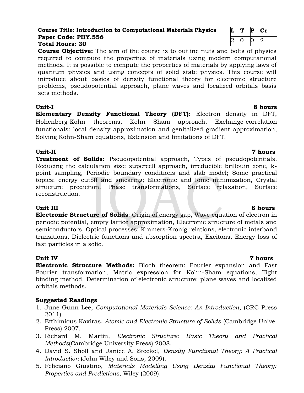# **Course Title: Introduction to Computational Materials Physics Paper Code: PHY.556**

# **Total Hours: 30**

**Course Objective:** The aim of the course is to outline nuts and bolts of physics required to compute the properties of materials using modern computational methods. It is possible to compute the properties of materials by applying laws of quantum physics and using concepts of solid state physics. This course will introduce about basics of density functional theory for electronic structure problems, pseudopotential approach, plane waves and localized orbitals basis sets methods.

**Elementary Density Functional Theory (DFT):** Electron density in DFT, Hohenberg-Kohn theorems, Kohn Sham approach, Exchange-correlation functionals: local density approximation and genitalized gradient approximation, Solving Kohn-Sham equations, Extension and limitations of DFT.

### **Unit-II 7 hours**

**Treatment of Solids:** Pseudopotential approach, Types of pseudopotentials, Reducing the calculation size: supercell approach, irreducible brillouin zone, kpoint sampling, Periodic boundary conditions and slab model; Some practical topics: energy cutoff and smearing; Electronic and Ionic minimization, Crystal structure prediction, Phase transformations, Surface relaxation, Surface reconstruction.

### **Unit III** 8 hours

**Electronic Structure of Solids**: Origin of energy gap, Wave equation of electron in periodic potential, empty lattice approximation, Electronic structure of metals and semiconductors, Optical processes: Kramers-Kronig relations, electronic interband transitions, Dielectric functions and absorption spectra, Excitons, Energy loss of fast particles in a solid.

**Unit IV 7 hours Electronic Structure Methods:** Bloch theorem: Fourier expansion and Fast Fourier transformation, Matric expression for Kohn-Sham equations, Tight binding method, Determination of electronic structure: plane waves and localized orbitals methods.

# **Suggested Readings**

- 1. June Gunn Lee, *Computational Materials Science: An Introduction*, (CRC Press 2011)
- 2. Efthimious Kaxiras, *Atomic and Electronic Structure of Solids* (Cambridge Unive. Press) 2007.
- 3. Richard M. Martin, *Electronic Structure: Basic Theory and Practical Methods*(Cambridge University Press) 2008.
- 4. David S. Sholl and Janice A. Steckel, *Density Functional Theory: A Practical Introduction* (John Wiley and Sons, 2009).
- 5. Feliciano Giustino, *Materials Modelling Using Density Functional Theory: Properties and Predictions*, Wiley (2009).

| L | Æ | Р | Сr  |
|---|---|---|-----|
| 2 | 0 |   | ' ' |

### **Unit-I 8 hours**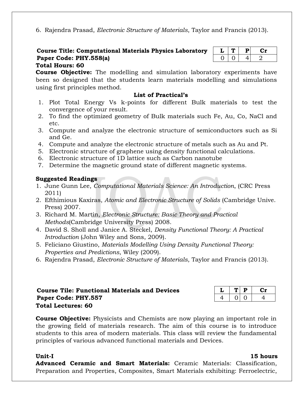6. Rajendra Prasad, *Electronic Structure of Materials*, Taylor and Francis (2013).

### **Course Title: Computational Materials Physics Laboratory Paper Code: PHY.558(a) Total Hours: 60**

| ι. | υ |  |
|----|---|--|
|    |   |  |

**Course Objective:** The modelling and simulation laboratory experiments have been so designed that the students learn materials modelling and simulations using first principles method.

### **List of Practical's**

- 1. Plot Total Energy Vs k-points for different Bulk materials to test the convergence of your result.
- 2. To find the optimized geometry of Bulk materials such Fe, Au, Co, NaCl and etc.
- 3. Compute and analyze the electronic structure of semiconductors such as Si and Ge.
- 4. Compute and analyze the electronic structure of metals such as Au and Pt.
- 5. Electronic structure of graphene using density functional calculations.
- 6. Electronic structure of 1D lattice such as Carbon nanotube
- 7. Determine the magnetic ground state of different magnetic systems.

# **Suggested Readings**

- 1. June Gunn Lee, *Computational Materials Science: An Introduction*, (CRC Press 2011)
- 2. Efthimious Kaxiras, *Atomic and Electronic Structure of Solids* (Cambridge Unive. Press) 2007.
- 3. Richard M. Martin, *Electronic Structure: Basic Theory and Practical Methods*(Cambridge University Press) 2008.
- 4. David S. Sholl and Janice A. Steckel, *Density Functional Theory: A Practical Introduction* (John Wiley and Sons, 2009).
- 5. Feliciano Giustino, *Materials Modelling Using Density Functional Theory: Properties and Predictions*, Wiley (2009).
- 6. Rajendra Prasad, *Electronic Structure of Materials*, Taylor and Francis (2013).

### **Course Tile: Functional Materials and Devices Paper Code: PHY.557 Total Lectures: 60**

|  | D |  |
|--|---|--|
|  |   |  |

**Course Objective:** Physicists and Chemists are now playing an important role in the growing field of materials research. The aim of this course is to introduce students to this area of modern materials. This class will review the fundamental principles of various advanced functional materials and Devices.

### **Unit-I 15 hours Advanced Ceramic and Smart Materials:** Ceramic Materials: Classification, Preparation and Properties, Composites, Smart Materials exhibiting: Ferroelectric,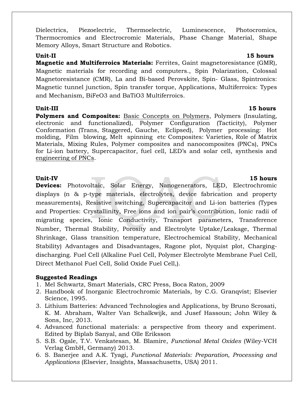**Unit-IV 15 hours**

Dielectrics, Piezoelectric, Thermoelectric, Luminescence, Photocromics, Thermocromics and Electrocromic Materials, Phase Change Material, Shape Memory Alloys, Smart Structure and Robotics.

**Magnetic and Multiferroics Materials:** Ferrites, Gaint magnetoresistance (GMR), Magnetic materials for recording and computers., Spin Polarization, Colossal Magnetoresistance (CMR), La and Bi-based Perovskite, Spin- Glass, Spintronics: Magnetic tunnel junction, Spin transfer torque, Applications, Multiferroics: Types and Mechanism, BiFeO3 and BaTiO3 Multiferroics.

### **Unit-III 15 hours**

**Polymers and Composites:** [Basic Concepts on Polymers,](javascript:loadvideo() Polymers (Insulating, electronic and functionalized), Polymer Configuration (Tacticity), Polymer Conformation (Trans, Staggered, Gauche, Eclipsed), Polymer processing: Hot molding, Film blowing, Melt spinning etc Composites: Varieties, Role of Matrix Materials, Mixing Rules, Polymer composites and nanocomposites (PNCs), PNCs for Li-ion battery, Supercapacitor, fuel cell, LED's and solar cell, synthesis and [engineering of PNCs.](javascript:loadvideo()

**Devices:** Photovoltaic, Solar Energy, Nanogenerators, LED, Electrochromic displays (n & p-type materials, electrolytes, device fabrication and property measurements), Resistive switching, Supercapacitor and Li-ion batteries (Types and Properties: Crystallinity, Free ions and ion pair's contribution, Ionic radii of migrating species, Ionic Conductivity, Transport parameters, Transference Number, Thermal Stability, Porosity and Electrolyte Uptake/Leakage, Thermal Shrinkage, Glass transition temperature, Electrochemical Stability, Mechanical Stability) Advantages and Disadvantages, Ragone plot, Nyquist plot, Chargingdischarging. Fuel Cell (Alkaline Fuel Cell, Polymer Electrolyte Membrane Fuel Cell, Direct Methanol Fuel Cell, Solid Oxide Fuel Cell,).

### **Suggested Readings**

- 1. Mel Schwartz, Smart Materials, CRC Press, Boca Raton, 2009
- 2. Handbook of Inorganic Electrochromic Materials, by C.G. Granqvist; Elsevier Science, 1995.
- 3. Lithium Batteries: Advanced Technologies and Applications, by Bruno Scrosati, K. M. Abraham, Walter Van Schalkwijk, and Jusef Hassoun; John Wiley & Sons, Inc, 2013.
- 4. Advanced functional materials: a perspective from theory and experiment. Edited by Biplab Sanyal, and Olle Eriksson
- 5. S.B. Ogale, T.V. Venkatesan, M. Blamire, *Functional Metal Oxides* (Wiley-VCH Verlag GmbH, Germany) 2013.
- 6. S. Banerjee and A.K. Tyagi, *Functional Materials: Preparation, Processing and Applications* (Elsevier, Insights, Massachusetts, USA) 2011.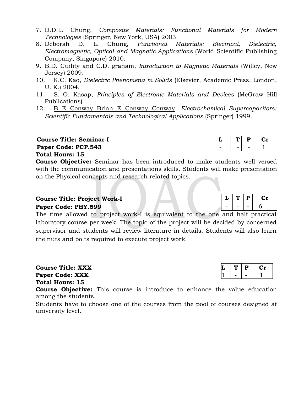- 7. D.D.L. Chung, *Composite Materials: Functional Materials for Modern Technologies* (Springer, New York, USA) 2003.
- 8. Deborah D. L. Chung, *Functional Materials: Electrical, Dielectric, Electromagnetic, Optical and Magnetic Applications* (World Scientific Publishing Company, Singapore) 2010.
- 9. B.D. Cuility and C.D. graham, *Introduction to Magnetic Materials* (Willey, New Jersey) 2009.
- 10. K.C. Kao, *Dielectric Phenomena in Solids* (Elsevier, Academic Press, London, U. K.) 2004.
- 11. S. O. Kasap, *Principles of Electronic Materials and Devices* (McGraw Hill Publications)
- 12. [B E Conway Brian E Conway Conway,](http://www.flipkart.com/author/b-e-conway-brian-e-conway-conway) *Electrochemical Supercapacitors: Scientific Fundamentals and Technological Applications* (Springer) 1999.

# **Course Title: Seminar-I Paper Code: PCP.543 Total Hours: 15**

**Course Objective:** Seminar has been introduced to make students well versed with the communication and presentations skills. Students will make presentation on the Physical concepts and research related topics.

# **Course Title: Project Work-I L T P Cr Paper Code: PHY.599**

The time allowed to project work-I is equivalent to the one and half practical laboratory course per week. The topic of the project will be decided by concerned supervisor and students will review literature in details. Students will also learn the nuts and bolts required to execute project work.

| <b>Course Title: XXX</b> |  | $T$ $P$ $Cr$ |
|--------------------------|--|--------------|
| <b>Paper Code: XXX</b>   |  | I - I - I 1  |
| <b>Total Hours: 15</b>   |  |              |

**Course Objective:** This course is introduce to enhance the value education among the students.

Students have to choose one of the courses from the pool of courses designed at university level.

|   | l, |  |
|---|----|--|
| - | -  |  |

| u | D |     |
|---|---|-----|
| - |   | . . |

|  | u |  |
|--|---|--|
|  |   |  |

|  | e Title: Project Work-I |  |  |
|--|-------------------------|--|--|
|  |                         |  |  |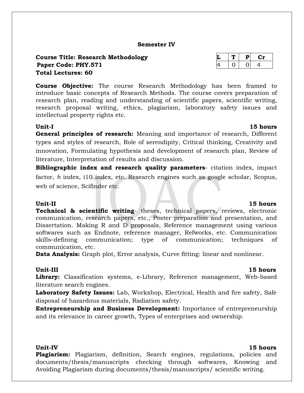### **Semester IV**

### **Course Title: Research Methodology L T P Cr Paper Code: PHY.571** 4 0 4 4 0 4 4 **Total Lectures: 60**

**Course Objective:** The course Research Methodology has been framed to introduce basic concepts of Research Methods. The course covers preparation of research plan, reading and understanding of scientific papers, scientific writing, research proposal writing, ethics, plagiarism, laboratory safety issues and intellectual property rights etc.

### **Unit-I 15 hours**

**General principles of research:** Meaning and importance of research, Different types and styles of research, Role of serendipity, Critical thinking, Creativity and innovation, Formulating hypothesis and development of research plan, Review of literature, Interpretation of results and discussion.

**Bibliographic index and research quality parameters**- citation index, impact factor, *h* index, i10 index, etc. Research engines such as google scholar, Scopus, web of science, Scifinder etc.

### **Unit-II 15 hours**

**Technical & scientific writing**- theses, technical papers, reviews, electronic communication, research papers, etc., Poster preparation and presentation, and Dissertation. Making R and D proposals, Reference management using various softwares such as Endnote, reference manager, Refworks, etc. Communication skills–defining communication; type of communication; techniques of communication, etc.

**Data Analysis:** Graph plot, Error analysis, Curve fitting: linear and nonlinear.

**Unit-III 15 hours Library:** Classification systems, e-Library, Reference management, Web-based literature search engines.

**Laboratory Safety Issues:** Lab, Workshop, Electrical, Health and fire safety, Safe disposal of hazardous materials, Radiation safety.

**Entrepreneurship and Business Development:** Importance of entrepreneurship and its relevance in career growth, Types of enterprises and ownership.

### **Unit-IV 15 hours**

**Plagiarism:** Plagiarism, definition, Search engines, regulations, policies and documents/thesis/manuscripts checking through softwares, Knowing and Avoiding Plagiarism during documents/thesis/manuscripts/ scientific writing.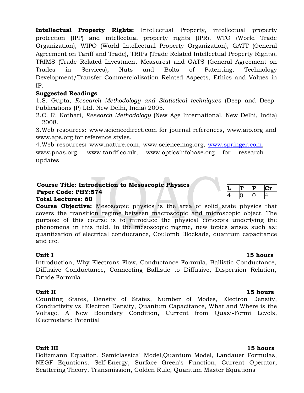**Intellectual Property Rights:** Intellectual Property, intellectual property protection (IPP) and intellectual property rights (IPR), WTO (World Trade Organization), WIPO (World Intellectual Property Organization), GATT (General Agreement on Tariff and Trade), TRIPs (Trade Related Intellectual Property Rights), TRIMS (Trade Related Investment Measures) and GATS (General Agreement on Trades in Services), Nuts and Bolts of Patenting, Technology Development/Transfer Commercialization Related Aspects, Ethics and Values in IP.

### **Suggested Readings**

1.S. Gupta, *Research Methodology and Statistical techniques* (Deep and Deep Publications (P) Ltd. New Delhi, India) 2005.

2.C. R. Kothari, *Research Methodology* (New Age International, New Delhi, India) 2008.

3.Web resources**:** www.sciencedirect.com for journal references, www.aip.org and www.aps.org for reference styles.

4.Web resources**:** www.nature.com, www.sciencemag.org, [www.springer.com,](http://www.springer.com/) www.pnas.org, www.tandf.co.uk, www.opticsinfobase.org for research updates.

### **Course Title: Introduction to Mesoscopic Physics Paper Code: PHY:574 Total Lectures: 60**

|              | ш |  |
|--------------|---|--|
| $\leftarrow$ |   |  |

### **Course Objective:** Mesoscopic physics is the area of solid state physics that covers the transition regime between macroscopic and microscopic object. The purpose of this course is to introduce the physical concepts underlying the phenomena in this field. In the mesoscopic regime, new topics arises such as: quantization of electrical conductance, Coulomb Blockade, quantum capacitance and etc.

### **Unit I 15 hours**

Introduction, Why Electrons Flow, Conductance Formula, Ballistic Conductance, Diffusive Conductance, Connecting Ballistic to Diffusive, Dispersion Relation, Drude Formula

### **Unit II 15 hours**

Counting States, Density of States, Number of Modes, Electron Density, Conductivity vs. Electron Density, Quantum Capacitance, What and Where is the Voltage, A New Boundary Condition, Current from Quasi-Fermi Levels, Electrostatic Potential

Boltzmann Equation, Semiclassical Model,Quantum Model, Landauer Formulas, NEGF Equations, Self-Energy, Surface Green's Function, Current Operator, Scattering Theory, Transmission, Golden Rule, Quantum Master Equations

## **Unit III 15 hours**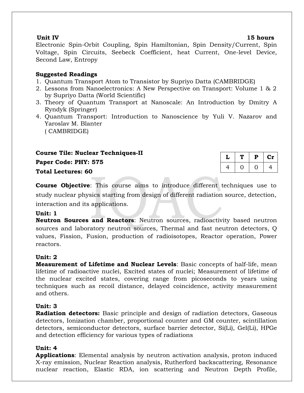Electronic Spin-Orbit Coupling, Spin Hamiltonian, Spin Density/Current, Spin Voltage, Spin Circuits, Seebeck Coefficient, heat Current, One-level Device, Second Law, Entropy

## **Suggested Readings**

- 1. Quantum Transport Atom to Transistor by Supriyo Datta (CAMBRIDGE)
- 2. Lessons from Nanoelectronics: A New Perspective on Transport: Volume 1 & 2 by Supriyo Datta (World Scientific)
- 3. Theory of Quantum Transport at Nanoscale: An Introduction by Dmitry A Ryndyk (Springer)
- 4. Quantum Transport: Introduction to Nanoscience by Yuli V. Nazarov and Yaroslav M. Blanter ( CAMBRIDGE)

# **Course Tile: Nuclear Techniques-II Paper Code: PHY: 575**

| L | ∙ ∎∙ | P | Сr |
|---|------|---|----|
| 4 | 0    | 0 | 4  |

**Total Lectures: 60**

**Course Objective**: This course aims to introduce different techniques use to study nuclear physics starting from design of different radiation source, detection, interaction and its applications.

### **Unit: 1**

**Neutron Sources and Reactors**: Neutron sources, radioactivity based neutron sources and laboratory neutron sources, Thermal and fast neutron detectors, Q values, Fission, Fusion, production of radioisotopes, Reactor operation, Power reactors.

# **Unit: 2**

**Measurement of Lifetime and Nuclear Levels**: Basic concepts of half-life, mean lifetime of radioactive nuclei, Excited states of nuclei; Measurement of lifetime of the nuclear excited states, covering range from picoseconds to years using techniques such as recoil distance, delayed coincidence, activity measurement and others.

# **Unit: 3**

**Radiation detectors:** Basic principle and design of radiation detectors, Gaseous detectors, Ionization chamber, proportional counter and GM counter, scintillation detectors, semiconductor detectors, surface barrier detector, Si(Li), Gel(Li), HPGe and detection efficiency for various types of radiations

# **Unit: 4**

**Applications**: Elemental analysis by neutron activation analysis, proton induced X-ray emission, Nuclear Reaction analysis, Rutherford backscattering, Resonance nuclear reaction, Elastic RDA, ion scattering and Neutron Depth Profile,

### **Unit IV 15 hours**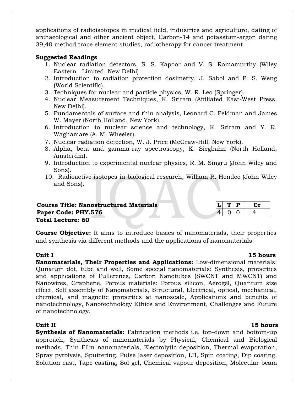applications of radioisotopes in medical field, industries and agriculture, dating of archaeological and other ancient object, Carbon-14 and potassium-argon dating 39,40 method trace element studies, radiotherapy for cancer treatment.

### **Suggested Readings**

- 1. Nuclear radiation detectors, S. S. Kapoor and V. S. Ramamurthy (Wiley Eastern Limited, New Delhi).
- 2. Introduction to radiation protection dosimetry, J. Sabol and P. S. Weng (World Scientific).
- 3. Techniques for nuclear and particle physics, W. R. Leo (Springer).
- 4. Nuclear Measurement Techniques, K. Sriram (Affiliated East-West Press, New Delhi).
- 5. Fundamentals of surface and thin analysis, Leonard C. Feldman and James W. Mayer (North Holland, New York).
- 6. Introduction to nuclear science and technology, K. Sriram and Y. R. Waghamare (A. M. Wheeler).
- 7. Nuclear radiation detection, W. J. Price (McGraw-Hill, New York).
- 8. Alpha, beta and gamma-ray spectroscopy, K. Siegbahn (North Holland, Amsterdm).
- 9. Introduction to experimental nuclear physics, R. M. Singru (John Wiley and Sons).
- 10. Radioactive isotopes in biological research, William R. Hendee (John Wiley and Sons).

| <b>Course Title: Nanostructured Materials</b> | $\blacksquare$ |  |
|-----------------------------------------------|----------------|--|
| Paper Code: PHY.576                           |                |  |
| <b>Total Lecture: 60</b>                      |                |  |

**Course Objective:** It aims to introduce basics of nanomaterials, their properties and synthesis via different methods and the applications of nanomaterials.

**Unit I 15 hours**

**Nanomaterials, Their Properties and Applications:** Low-dimensional materials: Qunatum dot, tube and well, Some special nanomaterials: Synthesis, properties and applications of Fullerenes, Carbon Nanotubes (SWCNT and MWCNT) and Nanowires, Graphene, Porous materials: Porous silicon, Aerogel, Quantum size effect, Self assembly of Nanomaterials, Structural, Electrical, optical, mechanical, chemical, and magnetic properties at nanoscale, Applications and benefits of nanotechnology, Nanotechnology Ethics and Environment, Challenges and Future of nanotechnology.

**Synthesis of Nanomaterials:** Fabrication methods i.e. top-down and bottom-up approach, Synthesis of nanomaterials by Physical, Chemical and Biological methods, Thin Film nanomaterials, Electrolytic deposition, Thermal evaporation, Spray pyrolysis, Sputtering, Pulse laser deposition, LB, Spin coating, Dip coating, Solution cast, Tape casting, Sol gel, Chemical vapour deposition, Molecular beam

### **Unit II 15 hours**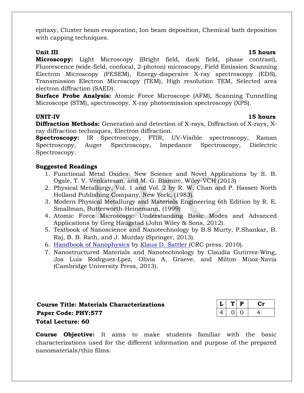epitaxy, Cluster beam evaporation, Ion beam deposition, Chemical bath deposition with capping techniques.

**Unit III 15 hours Microscopy:** Light Microscopy (Bright field, dark field, phase contrast), Fluorescence (wide-field, confocal, 2-photon) microscopy, Field Emission Scanning Electron Microscopy (FESEM), Energy-dispersive X-ray spectroscopy (EDS), Transmission Electron Microscopy (TEM), High resolution TEM, Selected area electron diffraction (SAED).

**Surface Probe Analysis:** Atomic Force Microscope (AFM), Scanning Tunnelling Microscope (STM), spectroscopy, X-ray photoemission spectroscopy (XPS).

### **UNIT-IV 15 hours**

**Diffraction Methods:** Generation and detection of X-rays, Diffraction of X-rays, Xray diffraction techniques, Electron diffraction.

**Spectroscopy:** IR Spectroscopy, FTIR, UV-Visible spectroscopy, Raman Spectroscopy, Auger Spectroscopy, Impedance Spectroscopy, Dielectric Spectroscopy.

### **Suggested Readings**

- 1. Functional Metal Oxides: New Science and Novel Applications by S. B. Ogale, T. V. Venkatesan, and M. G. Blamire, Wiley-VCH (2013)
- 2. Physical Metallurgy, Vol. 1 and Vol. 2 by R. W. Chan and P. Hassen North Holland Publishing Company, New York, (1983).
- 3. Modern Physical Metallurgy and Materials Engineering 6th Edition by R. E. Smallman, Butterworth-Heinemann, (1999)
- 4. Atomic Force Microscopy: Understanding Basic Modes and Advanced Applications by Greg Haugstad (John Wiley & Sons, 2012).
- 5. Textbook of Nanoscience and Nanotechnology by B.S Murty, P.Shankar, B. Raj, B. B. Rath, and J. Murday (Springer, 2013).
- 6. [Handbook of Nanophysics](http://www.taylorandfrancis.com/books/details/9781420075465/) by [Klaus D. Sattler \(](http://www.taylorandfrancis.com/books/search/author/klaus_d_sattler/)CRC press, 2010).
- 7. Nanostructured Materials and Nanotechnology by Claudia Gutirrez-Wing, Jos Luis Rodrguez-Lpez, Olivia A. Graeve, and Milton Muoz-Navia (Cambridge University Press, 2013).

# **Course Title: Materials Characterizations Paper Code: PHY:577 Total Lecture: 60**

| L | т. | D | τn |
|---|----|---|----|
| 4 | 0  |   |    |

**Course Objective:** It aims to make students familiar with the basic characterizations used for the different information and purpose of the prepared nanomaterials/thin films.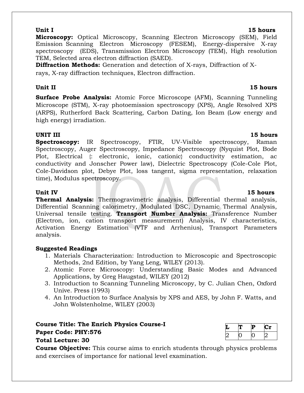**Unit I 15 hours Microscopy:** Optical Microscopy, Scanning Electron Microscopy (SEM), Field Emission Scanning Electron Microscopy (FESEM), Energy-dispersive X-ray spectroscopy (EDS), Transmission Electron Microscopy (TEM), High resolution TEM, Selected area electron diffraction (SAED).

**Diffraction Methods:** Generation and detection of X-rays, Diffraction of Xrays, X-ray diffraction techniques, Electron diffraction.

# **Unit II** 15 hours

**Surface Probe Analysis:** Atomic Force Microscope (AFM), Scanning Tunneling Microscope (STM), X-ray photoemission spectroscopy (XPS), Angle Resolved XPS (ARPS), Rutherford Back Scattering, Carbon Dating, Ion Beam (Low energy and high energy) irradiation.

# **UNIT III 15 hours**

**Spectroscopy:** IR Spectroscopy, FTIR, UV-Visible spectroscopy, Raman Spectroscopy, Auger Spectroscopy, Impedance Spectroscopy (Nyquist Plot, Bode Plot, Electrical  $\langle$ : electronic, ionic, cationic $\rangle$  conductivity estimation, ac conductivity and Jonscher Power law), Dielectric Spectroscopy (Cole-Cole Plot, Cole-Davidson plot, Debye Plot, loss tangent, sigma representation, relaxation time), Modulus spectroscopy.

**Thermal Analysis:** Thermogravimetric analysis, Differential thermal analysis, Differential Scanning calorimetry, Modulated DSC, Dynamic Thermal Analysis, Universal tensile testing. **Transport Number Analysis:** Transference Number (Electron, ion, cation transport measurement) Analysis, IV characteristics, Activation Energy Estimation (VTF and Arrhenius), Transport Parameters analysis.

# **Suggested Readings**

- 1. Materials Characterization: Introduction to Microscopic and Spectroscopic Methods, 2nd Edition, by Yang Leng, WILEY (2013).
- 2. Atomic Force Microscopy: Understanding Basic Modes and Advanced Applications, by Greg Haugstad, WILEY (2012)
- 3. Introduction to Scanning Tunneling Microscopy, by C. Julian Chen, Oxford Unive. Press (1993)
- 4. An Introduction to Surface Analysis by XPS and AES, by John F. Watts, and John Wolstenholme, WILEY (2003)

### **Course Title: The Enrich Physics Course-I Paper Code: PHY:576 Total Lecture: 30**

| L | υ | , |
|---|---|---|
| r |   |   |

**Course Objective:** This course aims to enrich students through physics problems and exercises of importance for national level examination.

# **Unit IV 15 hours**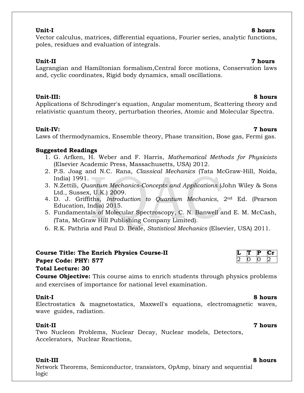|                |  |  |  | 2. P.S. Joag and N.C. Rana, <i>Classical Mechanics</i> (Tata McGraw-Hill, Noida, |  |
|----------------|--|--|--|----------------------------------------------------------------------------------|--|
| India) $1991.$ |  |  |  |                                                                                  |  |
|                |  |  |  | 2 N Zottili Quantum Mechanics Concents and Applications (John Wilsy & Sons       |  |

1. G. Arfken, H. Weber and F. Harris, *Mathematical Methods for Physicists*

- 3. N.Zettili, *Quantum Mechanics-Concepts and Applications* (John Wiley & Sons Ltd., Sussex, U.K.) 2009.
- 4. D. J. Griffiths, *Introduction to Quantum Mechanics*, 2nd Ed. (Pearson Education, India) 2015.
- 5. Fundamentals of Molecular Spectroscopy, C. N. Banwell and E. M. McCash, (Tata, McGraw Hill Publishing Company Limited).
- 6. R.K. Pathria and Paul D. Beale, *Statistical Mechanics* (Elsevier, USA) 2011.

# **Course Title: The Enrich Physics Course-II Paper Code: PHY: 577**

poles, residues and evaluation of integrals.

### **Total Lecture: 30**

**Course Objective:** This course aims to enrich students through physics problems and exercises of importance for national level examination.

### **Unit-I 8 hours**

Electrostatics & magnetostatics, Maxwell's equations, electromagnetic waves, wave guides, radiation.

### **Unit-II 7 hours**

Two Nucleon Problems, Nuclear Decay, Nuclear models, Detectors, Accelerators, Nuclear Reactions,

### **Unit-III 8 hours**

Network Theorems, Semiconductor, transistors, OpAmp, binary and sequential logic

# Vector calculus, matrices, differential equations, Fourier series, analytic functions,

**Unit-II 7 hours** Lagrangian and Hamiltonian formalism,Central force motions, Conservation laws and, cyclic coordinates, Rigid body dynamics, small oscillations.

**Unit-III: 8 hours** Applications of Schrodinger's equation, Angular momentum, Scattering theory and relativistic quantum theory, perturbation theories, Atomic and Molecular Spectra.

Laws of thermodynamics, Ensemble theory, Phase transition, Bose gas, Fermi gas.

(Elsevier Academic Press, Massachusetts, USA) 2012.

### **Unit-IV: 7 hours**

**Suggested Readings**

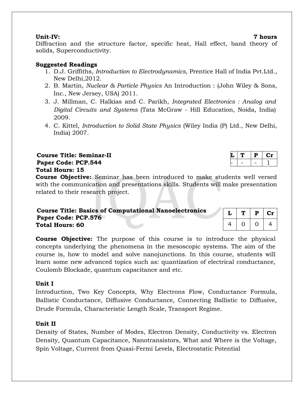### **Unit-IV: 7 hours**

Diffraction and the structure factor, specific heat, Hall effect, band theory of solids, Superconductivity.

# **Suggested Readings**

- 1. D.J. Griffiths, *Introduction to Electrodynamics*, Prentice Hall of India Pvt.Ltd., New Delhi,2012.
- 2. B. Martin, *Nuclear & Particle Physics* An Introduction : (John Wiley & Sons, Inc., New Jersey, USA) 2011.
- 3. J. Millman, C. Halkias and C. Parikh, *Integrated Electronics : Analog and Digital Circuits and Systems* (Tata McGraw - Hill Education, Noida, India) 2009.
- 4. C. Kittel, *Introduction to Solid State Physics* (Wiley India (P) Ltd., New Delhi, India) 2007.

# $C$ ourse Title: Seminar-II **Paper Code: PCP.544 Total Hours: 15**

**Course Objective:** Seminar has been introduced to make students well versed with the communication and presentations skills. Students will make presentation related to their research project.

| <b>Course Title: Basics of Computational Nanoelectronics</b> |  |
|--------------------------------------------------------------|--|
| Paper Code: PCP.576                                          |  |
| <b>Total Hours: 60</b>                                       |  |

**Course Objective:** The purpose of this course is to introduce the physical concepts underlying the phenomena in the mesoscopic systems. The aim of the course is, how to model and solve nanojunctions. In this course, students will learn some new advanced topics such as: quantization of electrical conductance, Coulomb Blockade, quantum capacitance and etc.

### **Unit I**

Introduction, Two Key Concepts, Why Electrons Flow, Conductance Formula, Ballistic Conductance, Diffusive Conductance, Connecting Ballistic to Diffusive, Drude Formula, Characteristic Length Scale, Transport Regime.

### **Unit II**

Density of States, Number of Modes, Electron Density, Conductivity vs. Electron Density, Quantum Capacitance, Nanotransistors, What and Where is the Voltage, Spin Voltage, Current from Quasi-Fermi Levels, Electrostatic Potential

 $L$  | **T** | **P** |  $Cr$ 

4 0 0 4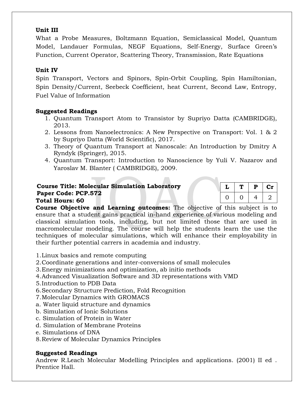### **Unit III**

What a Probe Measures, Boltzmann Equation, Semiclassical Model, Quantum Model, Landauer Formulas, NEGF Equations, Self-Energy, Surface Green's Function, Current Operator, Scattering Theory, Transmission, Rate Equations

### **Unit IV**

Spin Transport, Vectors and Spinors, Spin-Orbit Coupling, Spin Hamiltonian, Spin Density/Current, Seebeck Coefficient, heat Current, Second Law, Entropy, Fuel Value of Information

### **Suggested Readings**

- 1. Quantum Transport Atom to Transistor by Supriyo Datta (CAMBRIDGE), 2013.
- 2. Lessons from Nanoelectronics: A New Perspective on Transport: Vol. 1 & 2 by Supriyo Datta (World Scientific), 2017.
- 3. Theory of Quantum Transport at Nanoscale: An Introduction by Dmitry A Ryndyk (Springer), 2015.
- 4. Quantum Transport: Introduction to Nanoscience by Yuli V. Nazarov and Yaroslav M. Blanter ( CAMBRIDGE), 2009.

### **Course Title: Molecular Simulation Laboratory Paper Code: PCP.572 Total Hours: 60**

|  | Р | $\mathbf{cr}$ |
|--|---|---------------|
|  | Ί | .,            |

**Course Objective and Learning outcomes:** The objective of this subject is to ensure that a student gains practical in-hand experience of various modeling and classical simulation tools, including, but not limited those that are used in macromolecular modeling. The course will help the students learn the use the techniques of molecular simulations, which will enhance their employability in their further potential carrers in academia and industry.

- 1.Linux basics and remote computing
- 2.Coordinate generations and inter-conversions of small molecules
- 3.Energy minimizations and optimization, ab initio methods
- 4.Advanced Visualization Software and 3D representations with VMD
- 5.Introduction to PDB Data
- 6.Secondary Structure Prediction, Fold Recognition
- 7.Molecular Dynamics with GROMACS
- a. Water liquid structure and dynamics
- b. Simulation of Ionic Solutions
- c. Simulation of Protein in Water
- d. Simulation of Membrane Proteins
- e. Simulations of DNA
- 8.Review of Molecular Dynamics Principles

### **Suggested Readings**

Andrew R.Leach Molecular Modelling Principles and applications. (2001) II ed . Prentice Hall.